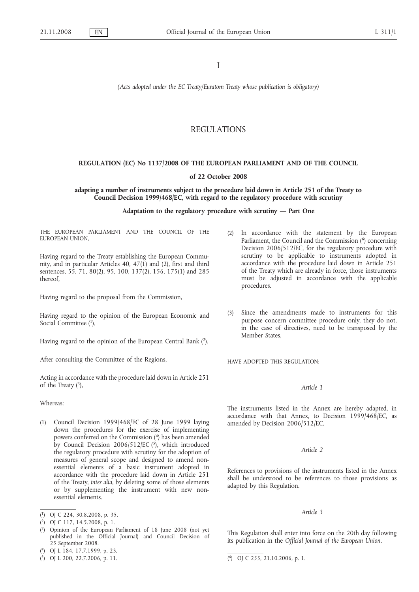I

*(Acts adopted under the EC Treaty/Euratom Treaty whose publication is obligatory)*

# REGULATIONS

# **REGULATION (EC) No 1137/2008 OF THE EUROPEAN PARLIAMENT AND OF THE COUNCIL**

# **of 22 October 2008**

# **adapting a number of instruments subject to the procedure laid down in Article 251 of the Treaty to Council Decision 1999/468/EC, with regard to the regulatory procedure with scrutiny**

# **Adaptation to the regulatory procedure with scrutiny — Part One**

THE EUROPEAN PARLIAMENT AND THE COUNCIL OF THE EUROPEAN UNION,

Having regard to the Treaty establishing the European Community, and in particular Articles 40,  $47(1)$  and  $(2)$ , first and third sentences, 55, 71, 80(2), 95, 100, 137(2), 156, 175(1) and 285 thereof,

Having regard to the proposal from the Commission,

Having regard to the opinion of the European Economic and Social Committee (1),

Having regard to the opinion of the European Central Bank (2),

After consulting the Committee of the Regions,

Acting in accordance with the procedure laid down in Article 251 of the Treaty  $(3)$ ,

Whereas:

- (1) Council Decision 1999/468/EC of 28 June 1999 laying down the procedures for the exercise of implementing powers conferred on the Commission (4) has been amended by Council Decision  $2006/512/EC$  (5), which introduced the regulatory procedure with scrutiny for the adoption of measures of general scope and designed to amend nonessential elements of a basic instrument adopted in accordance with the procedure laid down in Article 251 of the Treaty, *inter alia*, by deleting some of those elements or by supplementing the instrument with new nonessential elements.
- ( 1) OJ C 224, 30.8.2008, p. 35.
- ( 2) OJ C 117, 14.5.2008, p. 1.
- ( 3) Opinion of the European Parliament of 18 June 2008 (not yet published in the Official Journal) and Council Decision of 25 September 2008.
- ( 4) OJ L 184, 17.7.1999, p. 23.
- (2) In accordance with the statement by the European Parliament, the Council and the Commission (<sup>6</sup>) concerning Decision 2006/512/EC, for the regulatory procedure with scrutiny to be applicable to instruments adopted in accordance with the procedure laid down in Article 251 of the Treaty which are already in force, those instruments must be adjusted in accordance with the applicable procedures.
- (3) Since the amendments made to instruments for this purpose concern committee procedure only, they do not, in the case of directives, need to be transposed by the Member States,

HAVE ADOPTED THIS REGULATION:

# *Article 1*

The instruments listed in the Annex are hereby adapted, in accordance with that Annex, to Decision 1999/468/EC, as amended by Decision 2006/512/EC.

# *Article 2*

References to provisions of the instruments listed in the Annex shall be understood to be references to those provisions as adapted by this Regulation.

# *Article 3*

This Regulation shall enter into force on the 20th day following its publication in the *Official Journal of the European Union*.

 $(5)$  OJ L 200, 22.7.2006, p. 11.

<sup>6)</sup> OJ C 255, 21.10.2006, p. 1.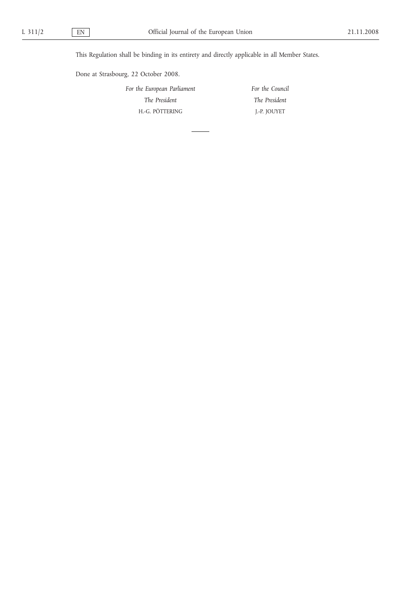This Regulation shall be binding in its entirety and directly applicable in all Member States.

Done at Strasbourg, 22 October 2008.

*For the European Parliament The President* H.-G. PÖTTERING *For the Council The President* J.-P. JOUYET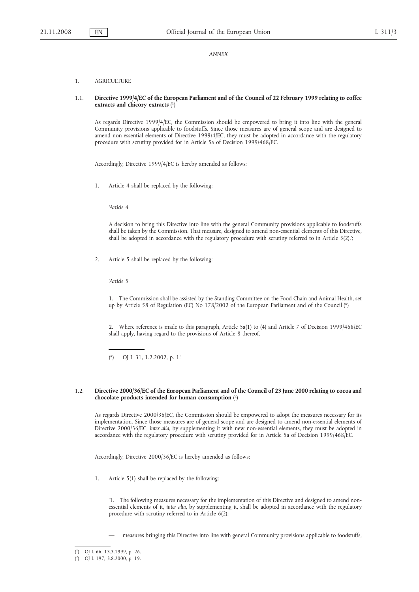*ANNEX*

### 1. AGRICULTURE

# 1.1. **Directive 1999/4/EC of the European Parliament and of the Council of 22 February 1999 relating to coffee extracts and chicory extracts** ( 1)

As regards Directive 1999/4/EC, the Commission should be empowered to bring it into line with the general Community provisions applicable to foodstuffs. Since those measures are of general scope and are designed to amend non-essential elements of Directive 1999/4/EC, they must be adopted in accordance with the regulatory procedure with scrutiny provided for in Article 5a of Decision 1999/468/EC.

Accordingly, Directive 1999/4/EC is hereby amended as follows:

1. Article 4 shall be replaced by the following:

*'Article 4*

A decision to bring this Directive into line with the general Community provisions applicable to foodstuffs shall be taken by the Commission. That measure, designed to amend non-essential elements of this Directive, shall be adopted in accordance with the regulatory procedure with scrutiny referred to in Article 5(2).';

2. Article 5 shall be replaced by the following:

*'Article 5*

1. The Commission shall be assisted by the Standing Committee on the Food Chain and Animal Health, set up by Article 58 of Regulation (EC) No 178/2002 of the European Parliament and of the Council (\*)

2. Where reference is made to this paragraph, Article 5a(1) to (4) and Article 7 of Decision 1999/468/EC shall apply, having regard to the provisions of Article 8 thereof.

(\*) OJ L 31, 1.2.2002, p. 1.'

# 1.2. **Directive 2000/36/EC of the European Parliament and of the Council of 23 June 2000 relating to cocoa and chocolate products intended for human consumption** ( 2)

As regards Directive 2000/36/EC, the Commission should be empowered to adopt the measures necessary for its implementation. Since those measures are of general scope and are designed to amend non-essential elements of Directive 2000/36/EC, *inter alia*, by supplementing it with new non-essential elements, they must be adopted in accordance with the regulatory procedure with scrutiny provided for in Article 5a of Decision 1999/468/EC.

Accordingly, Directive 2000/36/EC is hereby amended as follows:

1. Article 5(1) shall be replaced by the following:

'1. The following measures necessary for the implementation of this Directive and designed to amend nonessential elements of it, *inter alia*, by supplementing it, shall be adopted in accordance with the regulatory procedure with scrutiny referred to in Article 6(2):

— measures bringing this Directive into line with general Community provisions applicable to foodstuffs,

<sup>(</sup> 1) OJ L 66, 13.3.1999, p. 26.

<sup>(</sup> 2) OJ L 197, 3.8.2000, p. 19.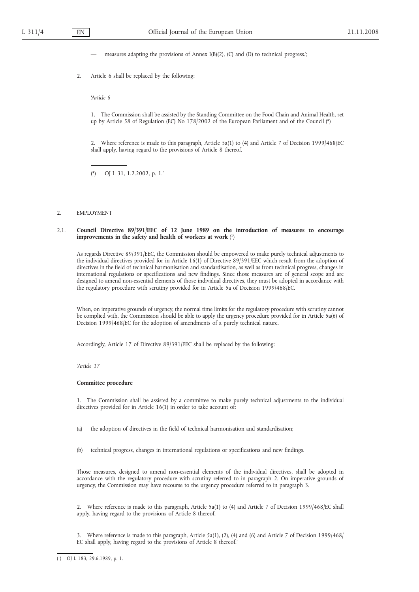measures adapting the provisions of Annex  $I(B)(2)$ , (C) and (D) to technical progress.';

2. Article 6 shall be replaced by the following:

*'Article 6*

1. The Commission shall be assisted by the Standing Committee on the Food Chain and Animal Health, set up by Article 58 of Regulation (EC) No 178/2002 of the European Parliament and of the Council (\*)

2. Where reference is made to this paragraph, Article 5a(1) to (4) and Article 7 of Decision 1999/468/EC shall apply, having regard to the provisions of Article 8 thereof.

(\*) OJ L 31, 1.2.2002, p. 1.'

# 2. EMPLOYMENT

# 2.1. **Council Directive 89/391/EEC of 12 June 1989 on the introduction of measures to encourage improvements in the safety and health of workers at work** ( 1)

As regards Directive 89/391/EEC, the Commission should be empowered to make purely technical adjustments to the individual directives provided for in Article 16(1) of Directive 89/391/EEC which result from the adoption of directives in the field of technical harmonisation and standardisation, as well as from technical progress, changes in international regulations or specifications and new findings. Since those measures are of general scope and are designed to amend non-essential elements of those individual directives, they must be adopted in accordance with the regulatory procedure with scrutiny provided for in Article 5a of Decision 1999/468/EC.

When, on imperative grounds of urgency, the normal time limits for the regulatory procedure with scrutiny cannot be complied with, the Commission should be able to apply the urgency procedure provided for in Article 5a(6) of Decision 1999/468/EC for the adoption of amendments of a purely technical nature.

Accordingly, Article 17 of Directive 89/391/EEC shall be replaced by the following:

*'Article 17*

#### **Committee procedure**

1. The Commission shall be assisted by a committee to make purely technical adjustments to the individual directives provided for in Article 16(1) in order to take account of:

- (a) the adoption of directives in the field of technical harmonisation and standardisation;
- (b) technical progress, changes in international regulations or specifications and new findings.

Those measures, designed to amend non-essential elements of the individual directives, shall be adopted in accordance with the regulatory procedure with scrutiny referred to in paragraph 2. On imperative grounds of urgency, the Commission may have recourse to the urgency procedure referred to in paragraph 3.

2. Where reference is made to this paragraph, Article 5a(1) to (4) and Article 7 of Decision 1999/468/EC shall apply, having regard to the provisions of Article 8 thereof.

3. Where reference is made to this paragraph, Article 5a(1), (2), (4) and (6) and Article 7 of Decision 1999/468/ EC shall apply, having regard to the provisions of Article 8 thereof.'

<sup>(</sup> 1) OJ L 183, 29.6.1989, p. 1.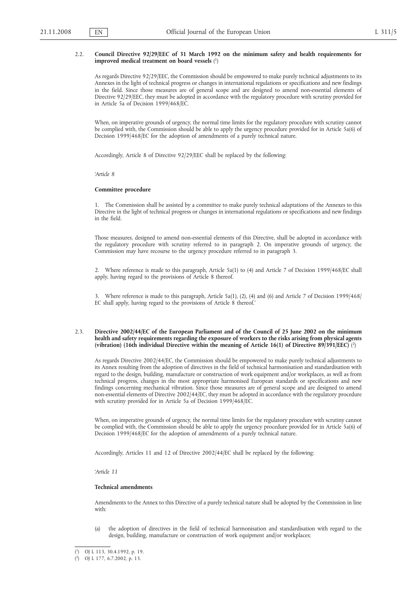### 2.2. **Council Directive 92/29/EEC of 31 March 1992 on the minimum safety and health requirements for improved medical treatment on board vessels** ( 1)

As regards Directive 92/29/EEC, the Commission should be empowered to make purely technical adjustments to its Annexes in the light of technical progress or changes in international regulations or specifications and new findings in the field. Since those measures are of general scope and are designed to amend non-essential elements of Directive 92/29/EEC, they must be adopted in accordance with the regulatory procedure with scrutiny provided for in Article 5a of Decision 1999/468/EC.

When, on imperative grounds of urgency, the normal time limits for the regulatory procedure with scrutiny cannot be complied with, the Commission should be able to apply the urgency procedure provided for in Article 5a(6) of Decision 1999/468/EC for the adoption of amendments of a purely technical nature.

Accordingly, Article 8 of Directive 92/29/EEC shall be replaced by the following:

*'Article 8*

#### **Committee procedure**

1. The Commission shall be assisted by a committee to make purely technical adaptations of the Annexes to this Directive in the light of technical progress or changes in international regulations or specifications and new findings in the field.

Those measures, designed to amend non-essential elements of this Directive, shall be adopted in accordance with the regulatory procedure with scrutiny referred to in paragraph 2. On imperative grounds of urgency, the Commission may have recourse to the urgency procedure referred to in paragraph 3.

2. Where reference is made to this paragraph, Article 5a(1) to (4) and Article 7 of Decision 1999/468/EC shall apply, having regard to the provisions of Article 8 thereof.

3. Where reference is made to this paragraph, Article 5a(1), (2), (4) and (6) and Article 7 of Decision 1999/468/ EC shall apply, having regard to the provisions of Article 8 thereof.'

## 2.3. **Directive 2002/44/EC of the European Parliament and of the Council of 25 June 2002 on the minimum health and safety requirements regarding the exposure of workers to the risks arising from physical agents (vibration) (16th individual Directive within the meaning of Article 16(1) of Directive 89/391/EEC)** ( 2)

As regards Directive 2002/44/EC, the Commission should be empowered to make purely technical adjustments to its Annex resulting from the adoption of directives in the field of technical harmonisation and standardisation with regard to the design, building, manufacture or construction of work equipment and/or workplaces, as well as from technical progress, changes in the most appropriate harmonised European standards or specifications and new findings concerning mechanical vibration. Since those measures are of general scope and are designed to amend non-essential elements of Directive 2002/44/EC, they must be adopted in accordance with the regulatory procedure with scrutiny provided for in Article 5a of Decision 1999/468/EC.

When, on imperative grounds of urgency, the normal time limits for the regulatory procedure with scrutiny cannot be complied with, the Commission should be able to apply the urgency procedure provided for in Article 5a(6) of Decision 1999/468/EC for the adoption of amendments of a purely technical nature.

Accordingly, Articles 11 and 12 of Directive 2002/44/EC shall be replaced by the following:

*'Article 11*

# **Technical amendments**

Amendments to the Annex to this Directive of a purely technical nature shall be adopted by the Commission in line with:

(a) the adoption of directives in the field of technical harmonisation and standardisation with regard to the design, building, manufacture or construction of work equipment and/or workplaces;

<sup>(</sup> 1) OJ L 113, 30.4.1992, p. 19.

<sup>(</sup> 2) OJ L 177, 6.7.2002, p. 13.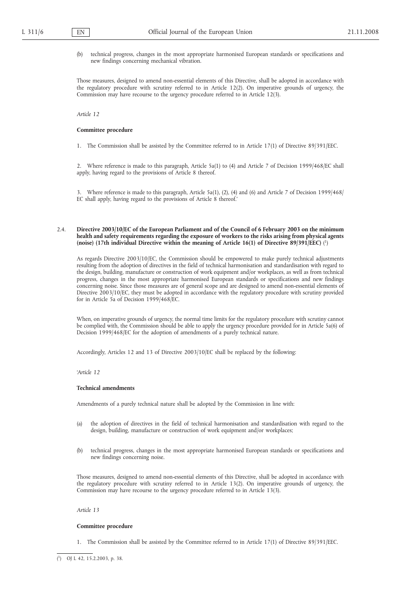(b) technical progress, changes in the most appropriate harmonised European standards or specifications and new findings concerning mechanical vibration.

Those measures, designed to amend non-essential elements of this Directive, shall be adopted in accordance with the regulatory procedure with scrutiny referred to in Article 12(2). On imperative grounds of urgency, the Commission may have recourse to the urgency procedure referred to in Article 12(3).

*Article 12*

#### **Committee procedure**

1. The Commission shall be assisted by the Committee referred to in Article 17(1) of Directive 89/391/EEC.

2. Where reference is made to this paragraph, Article 5a(1) to (4) and Article 7 of Decision 1999/468/EC shall apply, having regard to the provisions of Article 8 thereof.

3. Where reference is made to this paragraph, Article 5a(1), (2), (4) and (6) and Article 7 of Decision 1999/468/ EC shall apply, having regard to the provisions of Article 8 thereof.'

# 2.4. **Directive 2003/10/EC of the European Parliament and of the Council of 6 February 2003 on the minimum health and safety requirements regarding the exposure of workers to the risks arising from physical agents (noise) (17th individual Directive within the meaning of Article 16(1) of Directive 89/391/EEC)** ( 1)

As regards Directive 2003/10/EC, the Commission should be empowered to make purely technical adjustments resulting from the adoption of directives in the field of technical harmonisation and standardisation with regard to the design, building, manufacture or construction of work equipment and/or workplaces, as well as from technical progress, changes in the most appropriate harmonised European standards or specifications and new findings concerning noise. Since those measures are of general scope and are designed to amend non-essential elements of Directive 2003/10/EC, they must be adopted in accordance with the regulatory procedure with scrutiny provided for in Article 5a of Decision 1999/468/EC.

When, on imperative grounds of urgency, the normal time limits for the regulatory procedure with scrutiny cannot be complied with, the Commission should be able to apply the urgency procedure provided for in Article 5a(6) of Decision 1999/468/EC for the adoption of amendments of a purely technical nature.

Accordingly, Articles 12 and 13 of Directive 2003/10/EC shall be replaced by the following:

*'Article 12*

#### **Technical amendments**

Amendments of a purely technical nature shall be adopted by the Commission in line with:

- (a) the adoption of directives in the field of technical harmonisation and standardisation with regard to the design, building, manufacture or construction of work equipment and/or workplaces;
- (b) technical progress, changes in the most appropriate harmonised European standards or specifications and new findings concerning noise.

Those measures, designed to amend non-essential elements of this Directive, shall be adopted in accordance with the regulatory procedure with scrutiny referred to in Article 13(2). On imperative grounds of urgency, the Commission may have recourse to the urgency procedure referred to in Article 13(3).

*Article 13*

# **Committee procedure**

1. The Commission shall be assisted by the Committee referred to in Article 17(1) of Directive 89/391/EEC.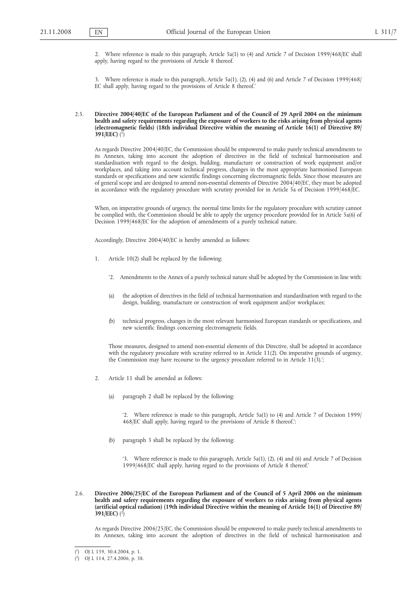2. Where reference is made to this paragraph, Article 5a(1) to (4) and Article 7 of Decision 1999/468/EC shall apply, having regard to the provisions of Article 8 thereof.

3. Where reference is made to this paragraph, Article 5a(1), (2), (4) and (6) and Article 7 of Decision 1999/468/ EC shall apply, having regard to the provisions of Article 8 thereof.'

# 2.5. **Directive 2004/40/EC of the European Parliament and of the Council of 29 April 2004 on the minimum health and safety requirements regarding the exposure of workers to the risks arising from physical agents (electromagnetic fields) (18th individual Directive within the meaning of Article 16(1) of Directive 89/ 391/EEC)** ( 1)

As regards Directive 2004/40/EC, the Commission should be empowered to make purely technical amendments to its Annexes, taking into account the adoption of directives in the field of technical harmonisation and standardisation with regard to the design, building, manufacture or construction of work equipment and/or workplaces, and taking into account technical progress, changes in the most appropriate harmonised European standards or specifications and new scientific findings concerning electromagnetic fields. Since those measures are of general scope and are designed to amend non-essential elements of Directive 2004/40/EC, they must be adopted in accordance with the regulatory procedure with scrutiny provided for in Article 5a of Decision 1999/468/EC.

When, on imperative grounds of urgency, the normal time limits for the regulatory procedure with scrutiny cannot be complied with, the Commission should be able to apply the urgency procedure provided for in Article 5a(6) of Decision 1999/468/EC for the adoption of amendments of a purely technical nature.

Accordingly, Directive 2004/40/EC is hereby amended as follows:

- 1. Article 10(2) shall be replaced by the following:
	- '2. Amendments to the Annex of a purely technical nature shall be adopted by the Commission in line with:
	- (a) the adoption of directives in the field of technical harmonisation and standardisation with regard to the design, building, manufacture or construction of work equipment and/or workplaces;
	- (b) technical progress, changes in the most relevant harmonised European standards or specifications, and new scientific findings concerning electromagnetic fields.

Those measures, designed to amend non-essential elements of this Directive, shall be adopted in accordance with the regulatory procedure with scrutiny referred to in Article 11(2). On imperative grounds of urgency, the Commission may have recourse to the urgency procedure referred to in Article 11(3).';

- 2. Article 11 shall be amended as follows:
	- (a) paragraph 2 shall be replaced by the following:

'2. Where reference is made to this paragraph, Article 5a(1) to (4) and Article 7 of Decision 1999/ 468/EC shall apply, having regard to the provisions of Article 8 thereof.';

(b) paragraph 3 shall be replaced by the following:

'3. Where reference is made to this paragraph, Article 5a(1), (2), (4) and (6) and Article 7 of Decision 1999/468/EC shall apply, having regard to the provisions of Article 8 thereof.'

2.6. **Directive 2006/25/EC of the European Parliament and of the Council of 5 April 2006 on the minimum health and safety requirements regarding the exposure of workers to risks arising from physical agents (artificial optical radiation) (19th individual Directive within the meaning of Article 16(1) of Directive 89/ 391/EEC)** ( 2)

As regards Directive 2006/25/EC, the Commission should be empowered to make purely technical amendments to its Annexes, taking into account the adoption of directives in the field of technical harmonisation and

<sup>(</sup> 1) OJ L 159, 30.4.2004, p. 1.

<sup>(</sup> 2) OJ L 114, 27.4.2006, p. 38.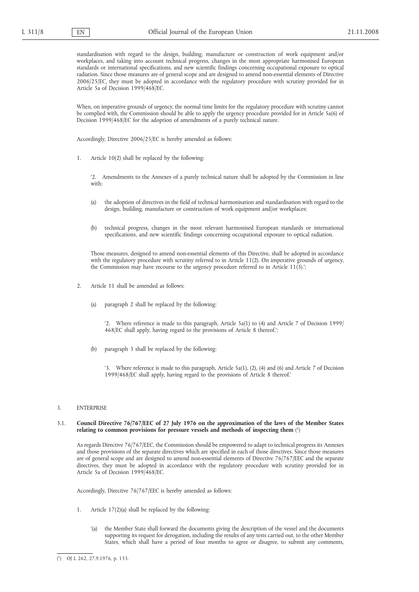standardisation with regard to the design, building, manufacture or construction of work equipment and/or workplaces, and taking into account technical progress, changes in the most appropriate harmonised European standards or international specifications, and new scientific findings concerning occupational exposure to optical radiation. Since those measures are of general scope and are designed to amend non-essential elements of Directive 2006/25/EC, they must be adopted in accordance with the regulatory procedure with scrutiny provided for in Article 5a of Decision 1999/468/EC.

When, on imperative grounds of urgency, the normal time limits for the regulatory procedure with scrutiny cannot be complied with, the Commission should be able to apply the urgency procedure provided for in Article 5a(6) of Decision 1999/468/EC for the adoption of amendments of a purely technical nature.

Accordingly, Directive 2006/25/EC is hereby amended as follows:

1. Article 10(2) shall be replaced by the following:

'2. Amendments to the Annexes of a purely technical nature shall be adopted by the Commission in line with:

- (a) the adoption of directives in the field of technical harmonisation and standardisation with regard to the design, building, manufacture or construction of work equipment and/or workplaces;
- (b) technical progress, changes in the most relevant harmonised European standards or international specifications, and new scientific findings concerning occupational exposure to optical radiation.

Those measures, designed to amend non-essential elements of this Directive, shall be adopted in accordance with the regulatory procedure with scrutiny referred to in Article 11(2). On imperative grounds of urgency, the Commission may have recourse to the urgency procedure referred to in Article 11(3).';

- 2. Article 11 shall be amended as follows:
	- (a) paragraph 2 shall be replaced by the following:

'2. Where reference is made to this paragraph, Article 5a(1) to (4) and Article 7 of Decision 1999/ 468/EC shall apply, having regard to the provisions of Article 8 thereof.';

(b) paragraph 3 shall be replaced by the following:

'3. Where reference is made to this paragraph, Article 5a(1), (2), (4) and (6) and Article 7 of Decision 1999/468/EC shall apply, having regard to the provisions of Article 8 thereof.'

#### 3. ENTERPRISE

# 3.1. **Council Directive 76/767/EEC of 27 July 1976 on the approximation of the laws of the Member States relating to common provisions for pressure vessels and methods of inspecting them** ( 1)

As regards Directive 76/767/EEC, the Commission should be empowered to adapt to technical progress its Annexes and those provisions of the separate directives which are specified in each of those directives. Since those measures are of general scope and are designed to amend non-essential elements of Directive 76/767/EEC and the separate directives, they must be adopted in accordance with the regulatory procedure with scrutiny provided for in Article 5a of Decision 1999/468/EC.

Accordingly, Directive 76/767/EEC is hereby amended as follows:

- 1. Article 17(2)(a) shall be replaced by the following:
	- '(a) the Member State shall forward the documents giving the description of the vessel and the documents supporting its request for derogation, including the results of any tests carried out, to the other Member States, which shall have a period of four months to agree or disagree, to submit any comments,

<sup>(</sup> 1) OJ L 262, 27.9.1976, p. 153.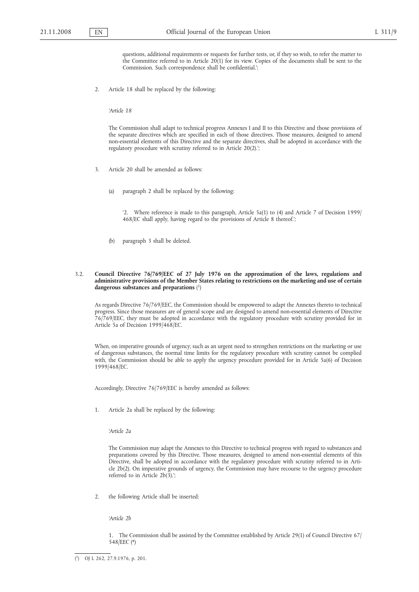questions, additional requirements or requests for further tests, or, if they so wish, to refer the matter to the Committee referred to in Article 20(1) for its view. Copies of the documents shall be sent to the Commission. Such correspondence shall be confidential.';

2. Article 18 shall be replaced by the following:

*'Article 18*

The Commission shall adapt to technical progress Annexes I and II to this Directive and those provisions of the separate directives which are specified in each of those directives. Those measures, designed to amend non-essential elements of this Directive and the separate directives, shall be adopted in accordance with the regulatory procedure with scrutiny referred to in Article 20(2).';

- 3. Article 20 shall be amended as follows:
	- (a) paragraph 2 shall be replaced by the following:

'2. Where reference is made to this paragraph, Article 5a(1) to (4) and Article 7 of Decision 1999/ 468/EC shall apply, having regard to the provisions of Article 8 thereof.';

- (b) paragraph 3 shall be deleted.
- 3.2. **Council Directive 76/769/EEC of 27 July 1976 on the approximation of the laws, regulations and administrative provisions of the Member States relating to restrictions on the marketing and use of certain dangerous substances and preparations** ( 1)

As regards Directive 76/769/EEC, the Commission should be empowered to adapt the Annexes thereto to technical progress. Since those measures are of general scope and are designed to amend non-essential elements of Directive 76/769/EEC, they must be adopted in accordance with the regulatory procedure with scrutiny provided for in Article 5a of Decision 1999/468/EC.

When, on imperative grounds of urgency, such as an urgent need to strengthen restrictions on the marketing or use of dangerous substances, the normal time limits for the regulatory procedure with scrutiny cannot be complied with, the Commission should be able to apply the urgency procedure provided for in Article 5a(6) of Decision 1999/468/EC.

Accordingly, Directive 76/769/EEC is hereby amended as follows:

1. Article 2a shall be replaced by the following:

*'Article 2a*

The Commission may adapt the Annexes to this Directive to technical progress with regard to substances and preparations covered by this Directive. Those measures, designed to amend non-essential elements of this Directive, shall be adopted in accordance with the regulatory procedure with scrutiny referred to in Article 2b(2). On imperative grounds of urgency, the Commission may have recourse to the urgency procedure referred to in Article  $2b(3)$ .';

2. the following Article shall be inserted:

*'Article 2b*

1. The Commission shall be assisted by the Committee established by Article 29(1) of Council Directive 67/ 548/EEC (\*)

 $(1)$ 1) OJ L 262, 27.9.1976, p. 201.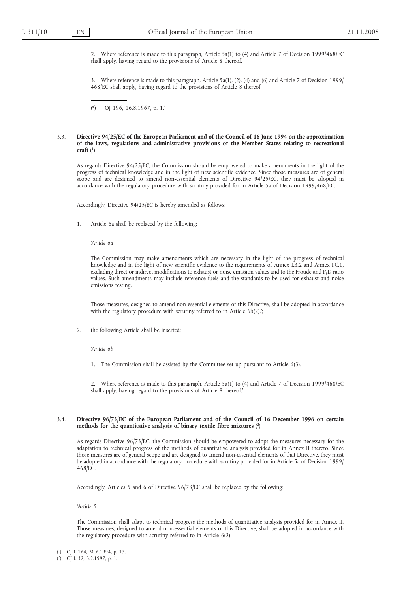2. Where reference is made to this paragraph, Article 5a(1) to (4) and Article 7 of Decision 1999/468/EC shall apply, having regard to the provisions of Article 8 thereof.

3. Where reference is made to this paragraph, Article 5a(1), (2), (4) and (6) and Article 7 of Decision 1999/ 468/EC shall apply, having regard to the provisions of Article 8 thereof.

(\*) OJ 196, 16.8.1967, p. 1.'

# 3.3. **Directive 94/25/EC of the European Parliament and of the Council of 16 June 1994 on the approximation of the laws, regulations and administrative provisions of the Member States relating to recreational craft** ( 1)

As regards Directive 94/25/EC, the Commission should be empowered to make amendments in the light of the progress of technical knowledge and in the light of new scientific evidence. Since those measures are of general scope and are designed to amend non-essential elements of Directive 94/25/EC, they must be adopted in accordance with the regulatory procedure with scrutiny provided for in Article 5a of Decision 1999/468/EC.

Accordingly, Directive 94/25/EC is hereby amended as follows:

1. Article 6a shall be replaced by the following:

*'Article 6a*

The Commission may make amendments which are necessary in the light of the progress of technical knowledge and in the light of new scientific evidence to the requirements of Annex I.B.2 and Annex I.C.1, excluding direct or indirect modifications to exhaust or noise emission values and to the Froude and P/D ratio values. Such amendments may include reference fuels and the standards to be used for exhaust and noise emissions testing.

Those measures, designed to amend non-essential elements of this Directive, shall be adopted in accordance with the regulatory procedure with scrutiny referred to in Article 6b(2).';

2. the following Article shall be inserted:

*'Article 6b*

1. The Commission shall be assisted by the Committee set up pursuant to Article 6(3).

2. Where reference is made to this paragraph, Article 5a(1) to (4) and Article 7 of Decision 1999/468/EC shall apply, having regard to the provisions of Article 8 thereof.'

# 3.4. **Directive 96/73/EC of the European Parliament and of the Council of 16 December 1996 on certain methods for the quantitative analysis of binary textile fibre mixtures** ( 2)

As regards Directive 96/73/EC, the Commission should be empowered to adopt the measures necessary for the adaptation to technical progress of the methods of quantitative analysis provided for in Annex II thereto. Since those measures are of general scope and are designed to amend non-essential elements of that Directive, they must be adopted in accordance with the regulatory procedure with scrutiny provided for in Article 5a of Decision 1999/ 468/EC.

Accordingly, Articles 5 and 6 of Directive 96/73/EC shall be replaced by the following:

*'Article 5*

The Commission shall adapt to technical progress the methods of quantitative analysis provided for in Annex II. Those measures, designed to amend non-essential elements of this Directive, shall be adopted in accordance with the regulatory procedure with scrutiny referred to in Article 6(2).

<sup>(</sup> 1) OJ L 164, 30.6.1994, p. 15.

<sup>(</sup> 2) OJ L 32, 3.2.1997, p. 1.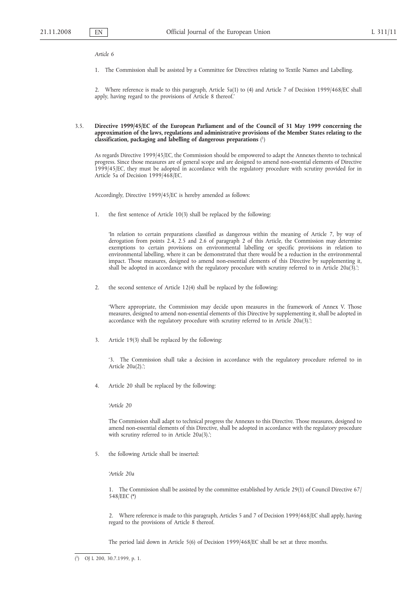*Article 6*

1. The Commission shall be assisted by a Committee for Directives relating to Textile Names and Labelling.

2. Where reference is made to this paragraph, Article 5a(1) to (4) and Article 7 of Decision 1999/468/EC shall apply, having regard to the provisions of Article 8 thereof.'

# 3.5. **Directive 1999/45/EC of the European Parliament and of the Council of 31 May 1999 concerning the approximation of the laws, regulations and administrative provisions of the Member States relating to the classification, packaging and labelling of dangerous preparations** ( 1)

As regards Directive 1999/45/EC, the Commission should be empowered to adapt the Annexes thereto to technical progress. Since those measures are of general scope and are designed to amend non-essential elements of Directive 1999/45/EC, they must be adopted in accordance with the regulatory procedure with scrutiny provided for in Article 5a of Decision 1999/468/EC.

Accordingly, Directive 1999/45/EC is hereby amended as follows:

1. the first sentence of Article 10(3) shall be replaced by the following:

'In relation to certain preparations classified as dangerous within the meaning of Article 7, by way of derogation from points 2.4, 2.5 and 2.6 of paragraph 2 of this Article, the Commission may determine exemptions to certain provisions on environmental labelling or specific provisions in relation to environmental labelling, where it can be demonstrated that there would be a reduction in the environmental impact. Those measures, designed to amend non-essential elements of this Directive by supplementing it, shall be adopted in accordance with the regulatory procedure with scrutiny referred to in Article 20a(3).';

2. the second sentence of Article 12(4) shall be replaced by the following:

'Where appropriate, the Commission may decide upon measures in the framework of Annex V. Those measures, designed to amend non-essential elements of this Directive by supplementing it, shall be adopted in accordance with the regulatory procedure with scrutiny referred to in Article 20a(3).';

3. Article 19(3) shall be replaced by the following:

'3. The Commission shall take a decision in accordance with the regulatory procedure referred to in Article 20a(2).';

4. Article 20 shall be replaced by the following:

*'Article 20*

The Commission shall adapt to technical progress the Annexes to this Directive. Those measures, designed to amend non-essential elements of this Directive, shall be adopted in accordance with the regulatory procedure with scrutiny referred to in Article 20a(3).';

5. the following Article shall be inserted:

*'Article 20a*

1. The Commission shall be assisted by the committee established by Article 29(1) of Council Directive 67/ 548/EEC (\*)

2. Where reference is made to this paragraph, Articles 5 and 7 of Decision 1999/468/EC shall apply, having regard to the provisions of Article 8 thereof.

The period laid down in Article 5(6) of Decision 1999/468/EC shall be set at three months.

<sup>(</sup> 1) OJ L 200, 30.7.1999, p. 1.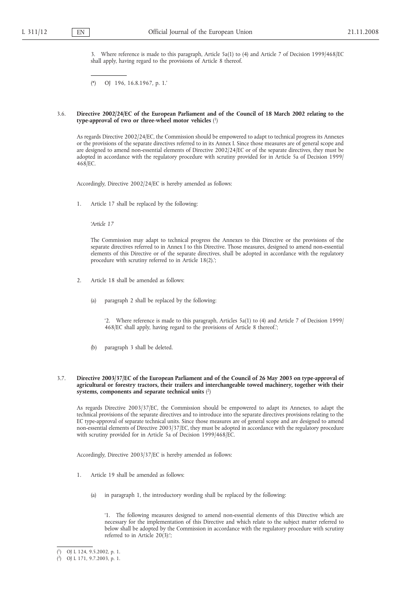3. Where reference is made to this paragraph, Article 5a(1) to (4) and Article 7 of Decision 1999/468/EC shall apply, having regard to the provisions of Article 8 thereof.

(\*) OJ 196, 16.8.1967, p. 1.'

### 3.6. **Directive 2002/24/EC of the European Parliament and of the Council of 18 March 2002 relating to the type-approval of two or three-wheel motor vehicles** ( 1)

As regards Directive 2002/24/EC, the Commission should be empowered to adapt to technical progress its Annexes or the provisions of the separate directives referred to in its Annex I. Since those measures are of general scope and are designed to amend non-essential elements of Directive 2002/24/EC or of the separate directives, they must be adopted in accordance with the regulatory procedure with scrutiny provided for in Article 5a of Decision 1999/ 468/EC.

Accordingly, Directive 2002/24/EC is hereby amended as follows:

1. Article 17 shall be replaced by the following:

*'Article 17*

The Commission may adapt to technical progress the Annexes to this Directive or the provisions of the separate directives referred to in Annex I to this Directive. Those measures, designed to amend non-essential elements of this Directive or of the separate directives, shall be adopted in accordance with the regulatory procedure with scrutiny referred to in Article 18(2).';

- 2. Article 18 shall be amended as follows:
	- (a) paragraph 2 shall be replaced by the following:

'2. Where reference is made to this paragraph, Articles 5a(1) to (4) and Article 7 of Decision 1999/ 468/EC shall apply, having regard to the provisions of Article 8 thereof.';

(b) paragraph 3 shall be deleted.

#### 3.7. **Directive 2003/37/EC of the European Parliament and of the Council of 26 May 2003 on type-approval of agricultural or forestry tractors, their trailers and interchangeable towed machinery, together with their systems, components and separate technical units** ( 2)

As regards Directive 2003/37/EC, the Commission should be empowered to adapt its Annexes, to adapt the technical provisions of the separate directives and to introduce into the separate directives provisions relating to the EC type-approval of separate technical units. Since those measures are of general scope and are designed to amend non-essential elements of Directive 2003/37/EC, they must be adopted in accordance with the regulatory procedure with scrutiny provided for in Article 5a of Decision 1999/468/EC.

Accordingly, Directive 2003/37/EC is hereby amended as follows:

- 1. Article 19 shall be amended as follows:
	- (a) in paragraph 1, the introductory wording shall be replaced by the following:

'1. The following measures designed to amend non-essential elements of this Directive which are necessary for the implementation of this Directive and which relate to the subject matter referred to below shall be adopted by the Commission in accordance with the regulatory procedure with scrutiny referred to in Article  $20(3)$ :

<sup>(</sup> 1) OJ L 124, 9.5.2002, p. 1.

<sup>(</sup> 2) OJ L 171, 9.7.2003, p. 1.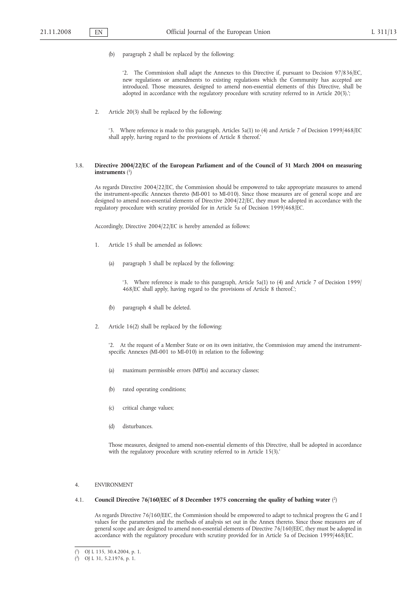(b) paragraph 2 shall be replaced by the following:

'2. The Commission shall adapt the Annexes to this Directive if, pursuant to Decision 97/836/EC, new regulations or amendments to existing regulations which the Community has accepted are introduced. Those measures, designed to amend non-essential elements of this Directive, shall be adopted in accordance with the regulatory procedure with scrutiny referred to in Article 20(3).';

2. Article 20(3) shall be replaced by the following:

'3. Where reference is made to this paragraph, Articles 5a(1) to (4) and Article 7 of Decision 1999/468/EC shall apply, having regard to the provisions of Article 8 thereof.'

# 3.8. **Directive 2004/22/EC of the European Parliament and of the Council of 31 March 2004 on measuring instruments** ( 1)

As regards Directive 2004/22/EC, the Commission should be empowered to take appropriate measures to amend the instrument-specific Annexes thereto (MI-001 to MI-010). Since those measures are of general scope and are designed to amend non-essential elements of Directive 2004/22/EC, they must be adopted in accordance with the regulatory procedure with scrutiny provided for in Article 5a of Decision 1999/468/EC.

Accordingly, Directive 2004/22/EC is hereby amended as follows:

- 1. Article 15 shall be amended as follows:
	- (a) paragraph 3 shall be replaced by the following:

'3. Where reference is made to this paragraph, Article 5a(1) to (4) and Article 7 of Decision 1999/ 468/EC shall apply, having regard to the provisions of Article 8 thereof.';

- (b) paragraph 4 shall be deleted.
- 2. Article 16(2) shall be replaced by the following:

'2. At the request of a Member State or on its own initiative, the Commission may amend the instrumentspecific Annexes (MI-001 to MI-010) in relation to the following:

- (a) maximum permissible errors (MPEs) and accuracy classes;
- (b) rated operating conditions;
- (c) critical change values;
- (d) disturbances.

Those measures, designed to amend non-essential elements of this Directive, shall be adopted in accordance with the regulatory procedure with scrutiny referred to in Article 15(3).'

4. ENVIRONMENT

#### 4.1. **Council Directive 76/160/EEC of 8 December 1975 concerning the quality of bathing water** ( 2)

As regards Directive 76/160/EEC, the Commission should be empowered to adapt to technical progress the G and I values for the parameters and the methods of analysis set out in the Annex thereto. Since those measures are of general scope and are designed to amend non-essential elements of Directive 76/160/EEC, they must be adopted in accordance with the regulatory procedure with scrutiny provided for in Article 5a of Decision 1999/468/EC.

<sup>(</sup> 1) OJ L 135, 30.4.2004, p. 1.

<sup>(</sup> 2) OJ L 31, 5.2.1976, p. 1.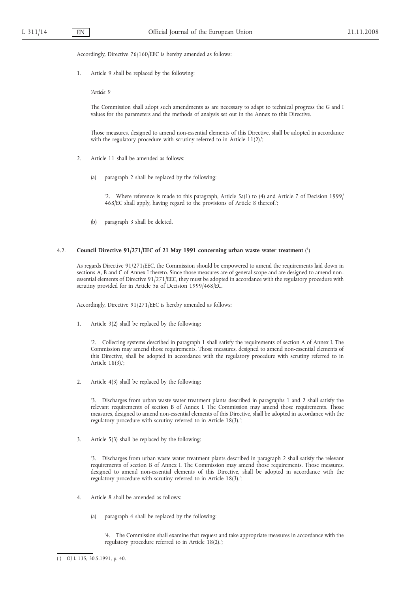Accordingly, Directive 76/160/EEC is hereby amended as follows:

1. Article 9 shall be replaced by the following:

*'Article 9*

The Commission shall adopt such amendments as are necessary to adapt to technical progress the G and I values for the parameters and the methods of analysis set out in the Annex to this Directive.

Those measures, designed to amend non-essential elements of this Directive, shall be adopted in accordance with the regulatory procedure with scrutiny referred to in Article 11(2).';

- 2. Article 11 shall be amended as follows:
	- (a) paragraph 2 shall be replaced by the following:

'2. Where reference is made to this paragraph, Article 5a(1) to (4) and Article 7 of Decision 1999/ 468/EC shall apply, having regard to the provisions of Article 8 thereof.';

(b) paragraph 3 shall be deleted.

#### 4.2. **Council Directive 91/271/EEC of 21 May 1991 concerning urban waste water treatment** ( 1)

As regards Directive 91/271/EEC, the Commission should be empowered to amend the requirements laid down in sections A, B and C of Annex I thereto. Since those measures are of general scope and are designed to amend nonessential elements of Directive 91/271/EEC, they must be adopted in accordance with the regulatory procedure with scrutiny provided for in Article 5a of Decision 1999/468/EC.

Accordingly, Directive 91/271/EEC is hereby amended as follows:

1. Article 3(2) shall be replaced by the following:

'2. Collecting systems described in paragraph 1 shall satisfy the requirements of section A of Annex I. The Commission may amend those requirements. Those measures, designed to amend non-essential elements of this Directive, shall be adopted in accordance with the regulatory procedure with scrutiny referred to in Article 18(3).';

2. Article 4(3) shall be replaced by the following:

'3. Discharges from urban waste water treatment plants described in paragraphs 1 and 2 shall satisfy the relevant requirements of section B of Annex I. The Commission may amend those requirements. Those measures, designed to amend non-essential elements of this Directive, shall be adopted in accordance with the regulatory procedure with scrutiny referred to in Article 18(3).';

3. Article 5(3) shall be replaced by the following:

'3. Discharges from urban waste water treatment plants described in paragraph 2 shall satisfy the relevant requirements of section B of Annex I. The Commission may amend those requirements. Those measures, designed to amend non-essential elements of this Directive, shall be adopted in accordance with the regulatory procedure with scrutiny referred to in Article 18(3).';

- 4. Article 8 shall be amended as follows:
	- (a) paragraph 4 shall be replaced by the following:

'4. The Commission shall examine that request and take appropriate measures in accordance with the regulatory procedure referred to in Article 18(2).';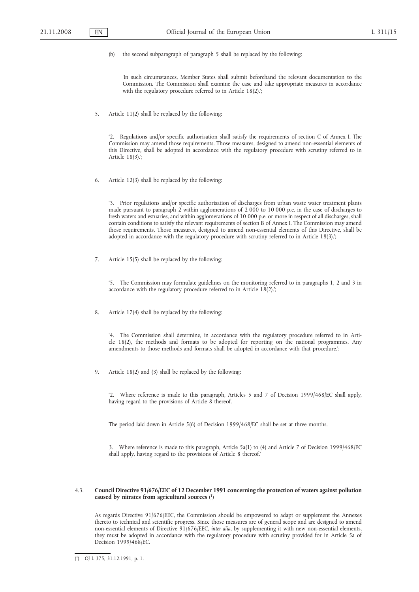(b) the second subparagraph of paragraph 5 shall be replaced by the following:

'In such circumstances, Member States shall submit beforehand the relevant documentation to the Commission. The Commission shall examine the case and take appropriate measures in accordance with the regulatory procedure referred to in Article 18(2).';

5. Article 11(2) shall be replaced by the following:

'2. Regulations and/or specific authorisation shall satisfy the requirements of section C of Annex I. The Commission may amend those requirements. Those measures, designed to amend non-essential elements of this Directive, shall be adopted in accordance with the regulatory procedure with scrutiny referred to in Article 18(3).';

6. Article 12(3) shall be replaced by the following:

'3. Prior regulations and/or specific authorisation of discharges from urban waste water treatment plants made pursuant to paragraph 2 within agglomerations of 2 000 to 10 000 p.e. in the case of discharges to fresh waters and estuaries, and within agglomerations of 10 000 p.e. or more in respect of all discharges, shall contain conditions to satisfy the relevant requirements of section B of Annex I. The Commission may amend those requirements. Those measures, designed to amend non-essential elements of this Directive, shall be adopted in accordance with the regulatory procedure with scrutiny referred to in Article 18(3).';

7. Article 15(5) shall be replaced by the following:

'5. The Commission may formulate guidelines on the monitoring referred to in paragraphs 1, 2 and 3 in accordance with the regulatory procedure referred to in Article 18(2).';

8. Article 17(4) shall be replaced by the following:

'4. The Commission shall determine, in accordance with the regulatory procedure referred to in Article 18(2), the methods and formats to be adopted for reporting on the national programmes. Any amendments to those methods and formats shall be adopted in accordance with that procedure.';

9. Article 18(2) and (3) shall be replaced by the following:

'2. Where reference is made to this paragraph, Articles 5 and 7 of Decision 1999/468/EC shall apply, having regard to the provisions of Article 8 thereof.

The period laid down in Article 5(6) of Decision 1999/468/EC shall be set at three months.

3. Where reference is made to this paragraph, Article 5a(1) to (4) and Article 7 of Decision 1999/468/EC shall apply, having regard to the provisions of Article 8 thereof.'

### 4.3. **Council Directive 91/676/EEC of 12 December 1991 concerning the protection of waters against pollution caused by nitrates from agricultural sources** ( 1)

As regards Directive 91/676/EEC, the Commission should be empowered to adapt or supplement the Annexes thereto to technical and scientific progress. Since those measures are of general scope and are designed to amend non-essential elements of Directive 91/676/EEC, *inter alia*, by supplementing it with new non-essential elements, they must be adopted in accordance with the regulatory procedure with scrutiny provided for in Article 5a of Decision 1999/468/EC.

<sup>(</sup> 1) OJ L 375, 31.12.1991, p. 1.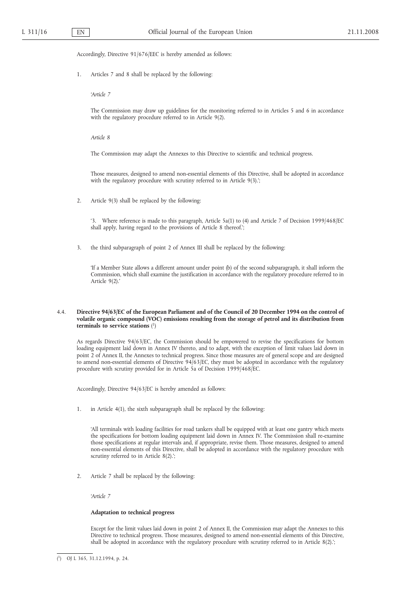Accordingly, Directive 91/676/EEC is hereby amended as follows:

1. Articles 7 and 8 shall be replaced by the following:

*'Article 7*

The Commission may draw up guidelines for the monitoring referred to in Articles 5 and 6 in accordance with the regulatory procedure referred to in Article 9(2).

*Article 8*

The Commission may adapt the Annexes to this Directive to scientific and technical progress.

Those measures, designed to amend non-essential elements of this Directive, shall be adopted in accordance with the regulatory procedure with scrutiny referred to in Article 9(3).';

2. Article 9(3) shall be replaced by the following:

'3. Where reference is made to this paragraph, Article 5a(1) to (4) and Article 7 of Decision 1999/468/EC shall apply, having regard to the provisions of Article 8 thereof.';

3. the third subparagraph of point 2 of Annex III shall be replaced by the following:

'If a Member State allows a different amount under point (b) of the second subparagraph, it shall inform the Commission, which shall examine the justification in accordance with the regulatory procedure referred to in Article 9(2).'

# 4.4. **Directive 94/63/EC of the European Parliament and of the Council of 20 December 1994 on the control of volatile organic compound (VOC) emissions resulting from the storage of petrol and its distribution from terminals to service stations** ( 1)

As regards Directive 94/63/EC, the Commission should be empowered to revise the specifications for bottom loading equipment laid down in Annex IV thereto, and to adapt, with the exception of limit values laid down in point 2 of Annex II, the Annexes to technical progress. Since those measures are of general scope and are designed to amend non-essential elements of Directive 94/63/EC, they must be adopted in accordance with the regulatory procedure with scrutiny provided for in Article 5a of Decision 1999/468/EC.

Accordingly, Directive 94/63/EC is hereby amended as follows:

1. in Article 4(1), the sixth subparagraph shall be replaced by the following:

'All terminals with loading facilities for road tankers shall be equipped with at least one gantry which meets the specifications for bottom loading equipment laid down in Annex IV. The Commission shall re-examine those specifications at regular intervals and, if appropriate, revise them. Those measures, designed to amend non-essential elements of this Directive, shall be adopted in accordance with the regulatory procedure with scrutiny referred to in Article 8(2).';

2. Article 7 shall be replaced by the following:

*'Article 7*

### **Adaptation to technical progress**

Except for the limit values laid down in point 2 of Annex II, the Commission may adapt the Annexes to this Directive to technical progress. Those measures, designed to amend non-essential elements of this Directive, shall be adopted in accordance with the regulatory procedure with scrutiny referred to in Article 8(2).';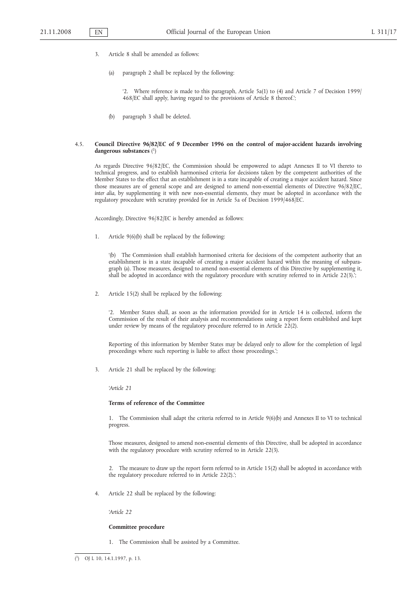- 3. Article 8 shall be amended as follows:
	- (a) paragraph 2 shall be replaced by the following:

'2. Where reference is made to this paragraph, Article 5a(1) to (4) and Article 7 of Decision 1999/ 468/EC shall apply, having regard to the provisions of Article 8 thereof.';

(b) paragraph 3 shall be deleted.

# 4.5. **Council Directive 96/82/EC of 9 December 1996 on the control of major-accident hazards involving dangerous substances** ( 1)

As regards Directive 96/82/EC, the Commission should be empowered to adapt Annexes II to VI thereto to technical progress, and to establish harmonised criteria for decisions taken by the competent authorities of the Member States to the effect that an establishment is in a state incapable of creating a major accident hazard. Since those measures are of general scope and are designed to amend non-essential elements of Directive 96/82/EC, *inter alia*, by supplementing it with new non-essential elements, they must be adopted in accordance with the regulatory procedure with scrutiny provided for in Article 5a of Decision 1999/468/EC.

Accordingly, Directive 96/82/EC is hereby amended as follows:

1. Article 9(6)(b) shall be replaced by the following:

'(b) The Commission shall establish harmonised criteria for decisions of the competent authority that an establishment is in a state incapable of creating a major accident hazard within the meaning of subparagraph (a). Those measures, designed to amend non-essential elements of this Directive by supplementing it, shall be adopted in accordance with the regulatory procedure with scrutiny referred to in Article 22(3).';

2. Article 15(2) shall be replaced by the following:

'2. Member States shall, as soon as the information provided for in Article 14 is collected, inform the Commission of the result of their analysis and recommendations using a report form established and kept under review by means of the regulatory procedure referred to in Article  $22(2)$ .

Reporting of this information by Member States may be delayed only to allow for the completion of legal proceedings where such reporting is liable to affect those proceedings.';

3. Article 21 shall be replaced by the following:

*'Article 21*

### **Terms of reference of the Committee**

1. The Commission shall adapt the criteria referred to in Article 9(6)(b) and Annexes II to VI to technical progress.

Those measures, designed to amend non-essential elements of this Directive, shall be adopted in accordance with the regulatory procedure with scrutiny referred to in Article 22(3).

2. The measure to draw up the report form referred to in Article 15(2) shall be adopted in accordance with the regulatory procedure referred to in Article 22(2).';

4. Article 22 shall be replaced by the following:

*'Article 22*

# **Committee procedure**

1. The Commission shall be assisted by a Committee.

<sup>(</sup> 1) OJ L 10, 14.1.1997, p. 13.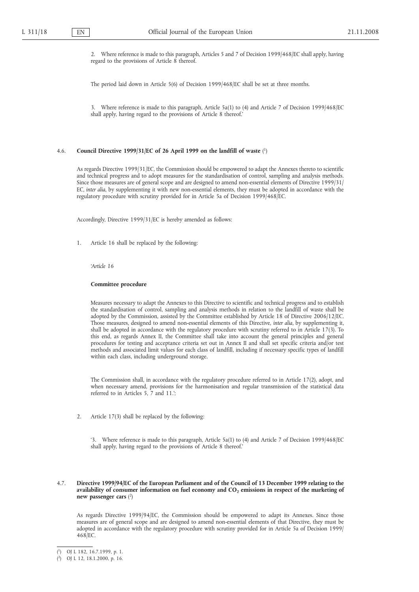2. Where reference is made to this paragraph, Articles 5 and 7 of Decision 1999/468/EC shall apply, having regard to the provisions of Article 8 thereof.

The period laid down in Article 5(6) of Decision 1999/468/EC shall be set at three months.

3. Where reference is made to this paragraph, Article 5a(1) to (4) and Article 7 of Decision 1999/468/EC shall apply, having regard to the provisions of Article 8 thereof.'

#### 4.6. **Council Directive 1999/31/EC of 26 April 1999 on the landfill of waste** ( 1)

As regards Directive 1999/31/EC, the Commission should be empowered to adapt the Annexes thereto to scientific and technical progress and to adopt measures for the standardisation of control, sampling and analysis methods. Since those measures are of general scope and are designed to amend non-essential elements of Directive 1999/31/ EC, *inter alia*, by supplementing it with new non-essential elements, they must be adopted in accordance with the regulatory procedure with scrutiny provided for in Article 5a of Decision 1999/468/EC.

Accordingly, Directive 1999/31/EC is hereby amended as follows:

1. Article 16 shall be replaced by the following:

*'Article 16*

#### **Committee procedure**

Measures necessary to adapt the Annexes to this Directive to scientific and technical progress and to establish the standardisation of control, sampling and analysis methods in relation to the landfill of waste shall be adopted by the Commission, assisted by the Committee established by Article 18 of Directive 2006/12/EC. Those measures, designed to amend non-essential elements of this Directive, *inter alia*, by supplementing it, shall be adopted in accordance with the regulatory procedure with scrutiny referred to in Article 17(3). To this end, as regards Annex II, the Committee shall take into account the general principles and general procedures for testing and acceptance criteria set out in Annex II and shall set specific criteria and/or test methods and associated limit values for each class of landfill, including if necessary specific types of landfill within each class, including underground storage.

The Commission shall, in accordance with the regulatory procedure referred to in Article 17(2), adopt, and when necessary amend, provisions for the harmonisation and regular transmission of the statistical data referred to in Articles 5, 7 and 11.';

2. Article 17(3) shall be replaced by the following:

'3. Where reference is made to this paragraph, Article 5a(1) to (4) and Article 7 of Decision 1999/468/EC shall apply, having regard to the provisions of Article 8 thereof.'

# 4.7. **Directive 1999/94/EC of the European Parliament and of the Council of 13 December 1999 relating to the** availability of consumer information on fuel economy and CO<sub>2</sub> emissions in respect of the marketing of **new passenger cars** ( 2)

As regards Directive 1999/94/EC, the Commission should be empowered to adapt its Annexes. Since those measures are of general scope and are designed to amend non-essential elements of that Directive, they must be adopted in accordance with the regulatory procedure with scrutiny provided for in Article 5a of Decision 1999/ 468/EC.

<sup>(</sup> 1) OJ L 182, 16.7.1999, p. 1.

<sup>(</sup> 2) OJ L 12, 18.1.2000, p. 16.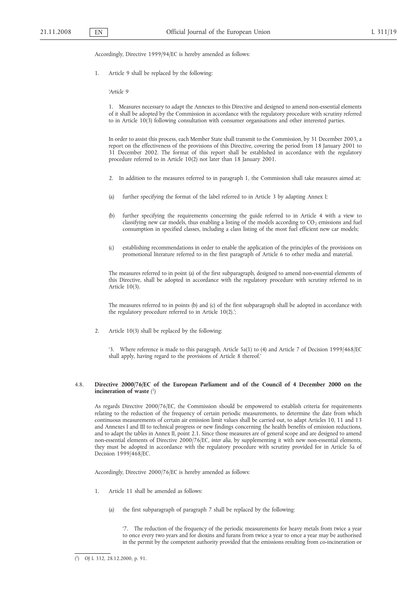Accordingly, Directive 1999/94/EC is hereby amended as follows:

1. Article 9 shall be replaced by the following:

*'Article 9*

1. Measures necessary to adapt the Annexes to this Directive and designed to amend non-essential elements of it shall be adopted by the Commission in accordance with the regulatory procedure with scrutiny referred to in Article 10(3) following consultation with consumer organisations and other interested parties.

In order to assist this process, each Member State shall transmit to the Commission, by 31 December 2003, a report on the effectiveness of the provisions of this Directive, covering the period from 18 January 2001 to <sup>1</sup> December 2002. The format of this report shall be established in accordance with the regulatory procedure referred to in Article 10(2) not later than 18 January 2001.

- 2. In addition to the measures referred to in paragraph 1, the Commission shall take measures aimed at:
- (a) further specifying the format of the label referred to in Article 3 by adapting Annex I;
- (b) further specifying the requirements concerning the guide referred to in Article 4 with a view to classifying new car models, thus enabling a listing of the models according to  $CO<sub>2</sub>$  emissions and fuel consumption in specified classes, including a class listing of the most fuel efficient new car models;
- (c) establishing recommendations in order to enable the application of the principles of the provisions on promotional literature referred to in the first paragraph of Article 6 to other media and material.

The measures referred to in point (a) of the first subparagraph, designed to amend non-essential elements of this Directive, shall be adopted in accordance with the regulatory procedure with scrutiny referred to in Article 10(3).

The measures referred to in points (b) and (c) of the first subparagraph shall be adopted in accordance with the regulatory procedure referred to in Article 10(2).';

2. Article 10(3) shall be replaced by the following:

'3. Where reference is made to this paragraph, Article 5a(1) to (4) and Article 7 of Decision 1999/468/EC shall apply, having regard to the provisions of Article 8 thereof.'

# 4.8. **Directive 2000/76/EC of the European Parliament and of the Council of 4 December 2000 on the incineration of waste** ( 1)

As regards Directive 2000/76/EC, the Commission should be empowered to establish criteria for requirements relating to the reduction of the frequency of certain periodic measurements, to determine the date from which continuous measurements of certain air emission limit values shall be carried out, to adapt Articles 10, 11 and 13 and Annexes I and III to technical progress or new findings concerning the health benefits of emission reductions, and to adapt the tables in Annex II, point 2.1. Since those measures are of general scope and are designed to amend non-essential elements of Directive 2000/76/EC, *inter alia*, by supplementing it with new non-essential elements, they must be adopted in accordance with the regulatory procedure with scrutiny provided for in Article 5a of Decision 1999/468/EC.

Accordingly, Directive 2000/76/EC is hereby amended as follows:

- 1. Article 11 shall be amended as follows:
	- (a) the first subparagraph of paragraph 7 shall be replaced by the following:

'7. The reduction of the frequency of the periodic measurements for heavy metals from twice a year to once every two years and for dioxins and furans from twice a year to once a year may be authorised in the permit by the competent authority provided that the emissions resulting from co-incineration or

<sup>(</sup> 1) OJ L 332, 28.12.2000, p. 91.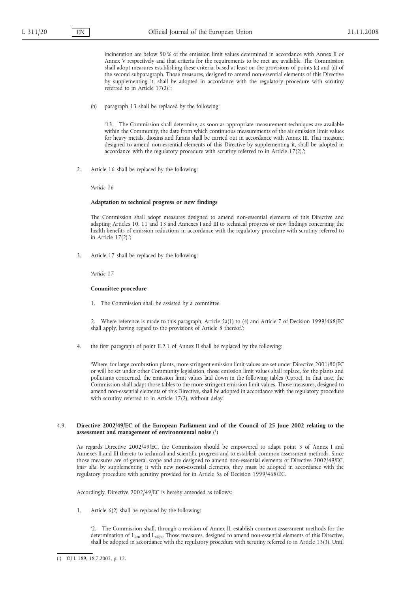incineration are below 50 % of the emission limit values determined in accordance with Annex II or Annex V respectively and that criteria for the requirements to be met are available. The Commission shall adopt measures establishing these criteria, based at least on the provisions of points (a) and (d) of the second subparagraph. Those measures, designed to amend non-essential elements of this Directive by supplementing it, shall be adopted in accordance with the regulatory procedure with scrutiny referred to in Article 17(2).';

(b) paragraph 13 shall be replaced by the following:

'13. The Commission shall determine, as soon as appropriate measurement techniques are available within the Community, the date from which continuous measurements of the air emission limit values for heavy metals, dioxins and furans shall be carried out in accordance with Annex III. That measure, designed to amend non-essential elements of this Directive by supplementing it, shall be adopted in accordance with the regulatory procedure with scrutiny referred to in Article 17(2).';

2. Article 16 shall be replaced by the following:

*'Article 16*

# **Adaptation to technical progress or new findings**

The Commission shall adopt measures designed to amend non-essential elements of this Directive and adapting Articles 10, 11 and 13 and Annexes I and III to technical progress or new findings concerning the health benefits of emission reductions in accordance with the regulatory procedure with scrutiny referred to in Article 17(2).';

3. Article 17 shall be replaced by the following:

*'Article 17*

# **Committee procedure**

1. The Commission shall be assisted by a committee.

Where reference is made to this paragraph, Article 5a(1) to (4) and Article 7 of Decision 1999/468/EC shall apply, having regard to the provisions of Article 8 thereof.';

4. the first paragraph of point II.2.1 of Annex II shall be replaced by the following:

'Where, for large combustion plants, more stringent emission limit values are set under Directive 2001/80/EC or will be set under other Community legislation, those emission limit values shall replace, for the plants and pollutants concerned, the emission limit values laid down in the following tables (Cproc). In that case, the Commission shall adapt those tables to the more stringent emission limit values. Those measures, designed to amend non-essential elements of this Directive, shall be adopted in accordance with the regulatory procedure with scrutiny referred to in Article 17(2), without delay.'

### 4.9. **Directive 2002/49/EC of the European Parliament and of the Council of 25 June 2002 relating to the assessment and management of environmental noise** ( 1)

As regards Directive 2002/49/EC, the Commission should be empowered to adapt point 3 of Annex I and Annexes II and III thereto to technical and scientific progress and to establish common assessment methods. Since those measures are of general scope and are designed to amend non-essential elements of Directive 2002/49/EC, *inter alia*, by supplementing it with new non-essential elements, they must be adopted in accordance with the regulatory procedure with scrutiny provided for in Article 5a of Decision 1999/468/EC.

Accordingly, Directive 2002/49/EC is hereby amended as follows:

1. Article 6(2) shall be replaced by the following:

'2. The Commission shall, through a revision of Annex II, establish common assessment methods for the determination of L<sub>den</sub> and L<sub>night</sub>. Those measures, designed to amend non-essential elements of this Directive, shall be adopted in accordance with the regulatory procedure with scrutiny referred to in Article 13(3). Until

<sup>(</sup> 1) OJ L 189, 18.7.2002, p. 12.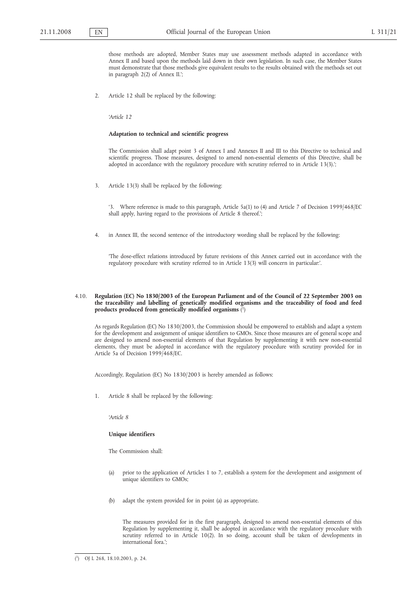those methods are adopted, Member States may use assessment methods adapted in accordance with Annex II and based upon the methods laid down in their own legislation. In such case, the Member States must demonstrate that those methods give equivalent results to the results obtained with the methods set out in paragraph 2(2) of Annex II.';

2. Article 12 shall be replaced by the following:

*'Article 12*

# **Adaptation to technical and scientific progress**

The Commission shall adapt point 3 of Annex I and Annexes II and III to this Directive to technical and scientific progress. Those measures, designed to amend non-essential elements of this Directive, shall be adopted in accordance with the regulatory procedure with scrutiny referred to in Article 13(3).';

3. Article 13(3) shall be replaced by the following:

'3. Where reference is made to this paragraph, Article 5a(1) to (4) and Article 7 of Decision 1999/468/EC shall apply, having regard to the provisions of Article 8 thereof.';

4. in Annex III, the second sentence of the introductory wording shall be replaced by the following:

'The dose-effect relations introduced by future revisions of this Annex carried out in accordance with the regulatory procedure with scrutiny referred to in Article 13(3) will concern in particular:'.

# 4.10. **Regulation (EC) No 1830/2003 of the European Parliament and of the Council of 22 September 2003 on the traceability and labelling of genetically modified organisms and the traceability of food and feed products produced from genetically modified organisms** ( 1)

As regards Regulation (EC) No 1830/2003, the Commission should be empowered to establish and adapt a system for the development and assignment of unique identifiers to GMOs. Since those measures are of general scope and are designed to amend non-essential elements of that Regulation by supplementing it with new non-essential elements, they must be adopted in accordance with the regulatory procedure with scrutiny provided for in Article 5a of Decision 1999/468/EC.

Accordingly, Regulation (EC) No 1830/2003 is hereby amended as follows:

1. Article 8 shall be replaced by the following:

*'Article 8*

# **Unique identifiers**

The Commission shall:

- (a) prior to the application of Articles 1 to 7, establish a system for the development and assignment of unique identifiers to GMOs;
- (b) adapt the system provided for in point (a) as appropriate.

The measures provided for in the first paragraph, designed to amend non-essential elements of this Regulation by supplementing it, shall be adopted in accordance with the regulatory procedure with scrutiny referred to in Article 10(2). In so doing, account shall be taken of developments in international fora.';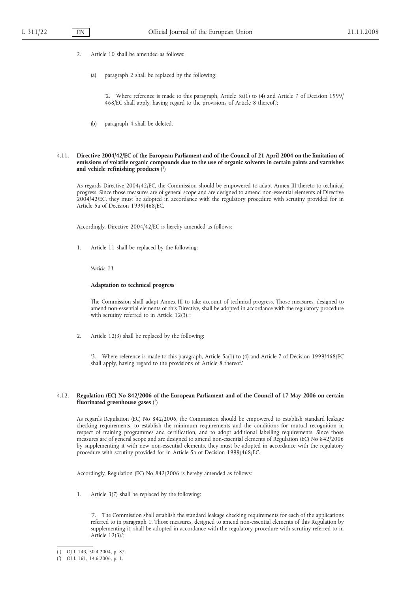- 2. Article 10 shall be amended as follows:
	- (a) paragraph 2 shall be replaced by the following:

'2. Where reference is made to this paragraph, Article 5a(1) to (4) and Article 7 of Decision 1999/ 468/EC shall apply, having regard to the provisions of Article 8 thereof.';

(b) paragraph 4 shall be deleted.

### 4.11. **Directive 2004/42/EC of the European Parliament and of the Council of 21 April 2004 on the limitation of emissions of volatile organic compounds due to the use of organic solvents in certain paints and varnishes and vehicle refinishing products** ( 1)

As regards Directive 2004/42/EC, the Commission should be empowered to adapt Annex III thereto to technical progress. Since those measures are of general scope and are designed to amend non-essential elements of Directive 2004/42/EC, they must be adopted in accordance with the regulatory procedure with scrutiny provided for in Article 5a of Decision 1999/468/EC.

Accordingly, Directive 2004/42/EC is hereby amended as follows:

1. Article 11 shall be replaced by the following:

*'Article 11*

### **Adaptation to technical progress**

The Commission shall adapt Annex III to take account of technical progress. Those measures, designed to amend non-essential elements of this Directive, shall be adopted in accordance with the regulatory procedure with scrutiny referred to in Article 12(3).';

2. Article 12(3) shall be replaced by the following:

'3. Where reference is made to this paragraph, Article 5a(1) to (4) and Article 7 of Decision 1999/468/EC shall apply, having regard to the provisions of Article 8 thereof.'

# 4.12. **Regulation (EC) No 842/2006 of the European Parliament and of the Council of 17 May 2006 on certain fluorinated greenhouse gases** ( 2)

As regards Regulation (EC) No 842/2006, the Commission should be empowered to establish standard leakage checking requirements, to establish the minimum requirements and the conditions for mutual recognition in respect of training programmes and certification, and to adopt additional labelling requirements. Since those measures are of general scope and are designed to amend non-essential elements of Regulation (EC) No 842/2006 by supplementing it with new non-essential elements, they must be adopted in accordance with the regulatory procedure with scrutiny provided for in Article 5a of Decision 1999/468/EC.

Accordingly, Regulation (EC) No 842/2006 is hereby amended as follows:

1. Article 3(7) shall be replaced by the following:

'7. The Commission shall establish the standard leakage checking requirements for each of the applications referred to in paragraph 1. Those measures, designed to amend non-essential elements of this Regulation by supplementing it, shall be adopted in accordance with the regulatory procedure with scrutiny referred to in Article 12(3).';

<sup>(</sup> 1) OJ L 143, 30.4.2004, p. 87.

<sup>(</sup> 2) OJ L 161, 14.6.2006, p. 1.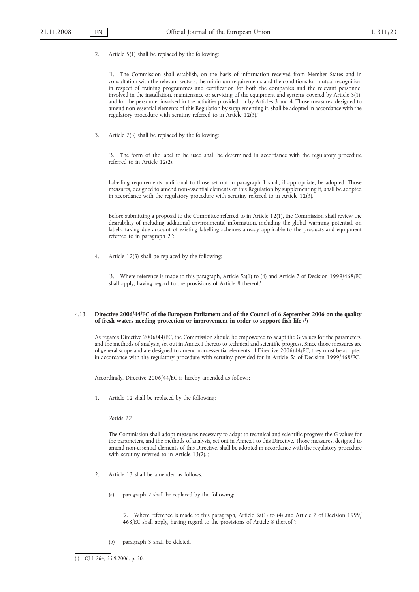2. Article 5(1) shall be replaced by the following:

'1. The Commission shall establish, on the basis of information received from Member States and in consultation with the relevant sectors, the minimum requirements and the conditions for mutual recognition in respect of training programmes and certification for both the companies and the relevant personnel involved in the installation, maintenance or servicing of the equipment and systems covered by Article 3(1), and for the personnel involved in the activities provided for by Articles 3 and 4. Those measures, designed to amend non-essential elements of this Regulation by supplementing it, shall be adopted in accordance with the regulatory procedure with scrutiny referred to in Article 12(3).';

3. Article 7(3) shall be replaced by the following:

'3. The form of the label to be used shall be determined in accordance with the regulatory procedure referred to in Article 12(2).

Labelling requirements additional to those set out in paragraph 1 shall, if appropriate, be adopted. Those measures, designed to amend non-essential elements of this Regulation by supplementing it, shall be adopted in accordance with the regulatory procedure with scrutiny referred to in Article 12(3).

Before submitting a proposal to the Committee referred to in Article 12(1), the Commission shall review the desirability of including additional environmental information, including the global warming potential, on labels, taking due account of existing labelling schemes already applicable to the products and equipment referred to in paragraph 2.';

4. Article 12(3) shall be replaced by the following:

'3. Where reference is made to this paragraph, Article 5a(1) to (4) and Article 7 of Decision 1999/468/EC shall apply, having regard to the provisions of Article 8 thereof.'

# 4.13. **Directive 2006/44/EC of the European Parliament and of the Council of 6 September 2006 on the quality of fresh waters needing protection or improvement in order to support fish life** ( 1)

As regards Directive 2006/44/EC, the Commission should be empowered to adapt the G values for the parameters, and the methods of analysis, set out in Annex I thereto to technical and scientific progress. Since those measures are of general scope and are designed to amend non-essential elements of Directive 2006/44/EC, they must be adopted in accordance with the regulatory procedure with scrutiny provided for in Article 5a of Decision 1999/468/EC.

Accordingly, Directive 2006/44/EC is hereby amended as follows:

1. Article 12 shall be replaced by the following:

*'Article 12*

The Commission shall adopt measures necessary to adapt to technical and scientific progress the G values for the parameters, and the methods of analysis, set out in Annex I to this Directive. Those measures, designed to amend non-essential elements of this Directive, shall be adopted in accordance with the regulatory procedure with scrutiny referred to in Article 13(2).';

- 2. Article 13 shall be amended as follows:
	- (a) paragraph 2 shall be replaced by the following:

'2. Where reference is made to this paragraph, Article 5a(1) to (4) and Article 7 of Decision 1999/ 468/EC shall apply, having regard to the provisions of Article 8 thereof.';

(b) paragraph 3 shall be deleted.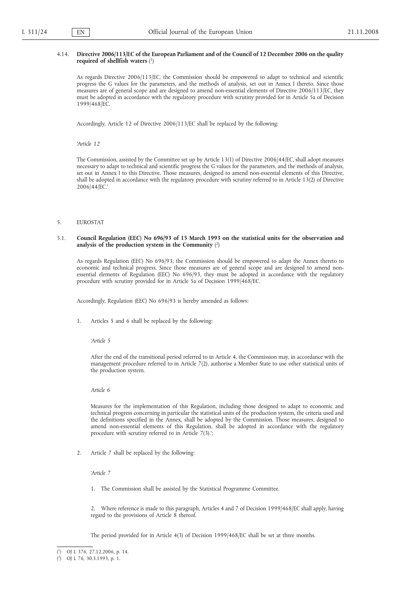### 4.14. **Directive 2006/113/EC of the European Parliament and of the Council of 12 December 2006 on the quality required of shellfish waters** ( 1)

As regards Directive 2006/113/EC, the Commission should be empowered to adapt to technical and scientific progress the G values for the parameters, and the methods of analysis, set out in Annex I thereto. Since those measures are of general scope and are designed to amend non-essential elements of Directive 2006/113/EC, they must be adopted in accordance with the regulatory procedure with scrutiny provided for in Article 5a of Decision 1999/468/EC.

Accordingly, Article 12 of Directive 2006/113/EC shall be replaced by the following:

*'Article 12*

The Commission, assisted by the Committee set up by Article 13(1) of Directive 2006/44/EC, shall adopt measures necessary to adapt to technical and scientific progress the G values for the parameters, and the methods of analysis, set out in Annex I to this Directive. Those measures, designed to amend non-essential elements of this Directive, shall be adopted in accordance with the regulatory procedure with scrutiny referred to in Article 13(2) of Directive 2006/44/EC.'

#### 5. EUROSTAT

### 5.1. **Council Regulation (EEC) No 696/93 of 15 March 1993 on the statistical units for the observation and analysis of the production system in the Community** ( 2)

As regards Regulation (EEC) No 696/93, the Commission should be empowered to adapt the Annex thereto to economic and technical progress. Since those measures are of general scope and are designed to amend nonessential elements of Regulation (EEC) No 696/93, they must be adopted in accordance with the regulatory procedure with scrutiny provided for in Article 5a of Decision 1999/468/EC.

Accordingly, Regulation (EEC) No 696/93 is hereby amended as follows:

1. Articles 5 and 6 shall be replaced by the following:

*'Article 5*

After the end of the transitional period referred to in Article 4, the Commission may, in accordance with the management procedure referred to in Article 7(2), authorise a Member State to use other statistical units of the production system.

*Article 6*

Measures for the implementation of this Regulation, including those designed to adapt to economic and technical progress concerning in particular the statistical units of the production system, the criteria used and the definitions specified in the Annex, shall be adopted by the Commission. Those measures, designed to amend non-essential elements of this Regulation, shall be adopted in accordance with the regulatory procedure with scrutiny referred to in Article 7(3).';

2. Article 7 shall be replaced by the following:

*'Article 7*

1. The Commission shall be assisted by the Statistical Programme Committee.

2. Where reference is made to this paragraph, Articles 4 and 7 of Decision 1999/468/EC shall apply, having regard to the provisions of Article 8 thereof.

The period provided for in Article 4(3) of Decision 1999/468/EC shall be set at three months.

<sup>(</sup> 1) OJ L 376, 27.12.2006, p. 14.

<sup>(</sup> 2) OJ L 76, 30.3.1993, p. 1.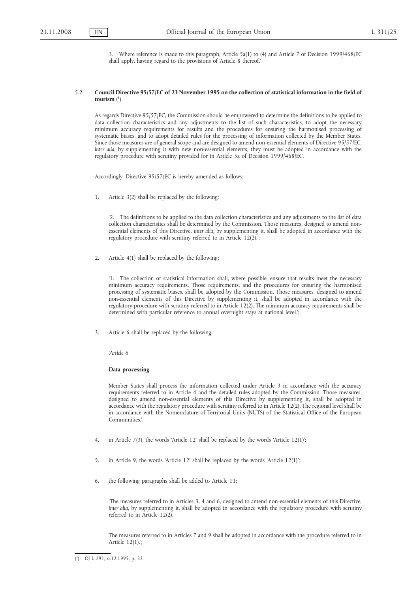3. Where reference is made to this paragraph, Article 5a(1) to (4) and Article 7 of Decision 1999/468/EC shall apply, having regard to the provisions of Article 8 thereof.'

# 5.2. **Council Directive 95/57/EC of 23 November 1995 on the collection of statistical information in the field of tourism** ( 1)

As regards Directive 95/57/EC, the Commission should be empowered to determine the definitions to be applied to data collection characteristics and any adjustments to the list of such characteristics, to adopt the necessary minimum accuracy requirements for results and the procedures for ensuring the harmonised processing of systematic biases, and to adopt detailed rules for the processing of information collected by the Member States. Since those measures are of general scope and are designed to amend non-essential elements of Directive 95/57/EC, *inter alia*, by supplementing it with new non-essential elements, they must be adopted in accordance with the regulatory procedure with scrutiny provided for in Article 5a of Decision 1999/468/EC.

Accordingly, Directive 95/57/EC is hereby amended as follows:

1. Article 3(2) shall be replaced by the following:

'2. The definitions to be applied to the data collection characteristics and any adjustments to the list of data collection characteristics shall be determined by the Commission. Those measures, designed to amend nonessential elements of this Directive, *inter alia*, by supplementing it, shall be adopted in accordance with the regulatory procedure with scrutiny referred to in Article 12(2).';

2. Article 4(1) shall be replaced by the following:

'1. The collection of statistical information shall, where possible, ensure that results meet the necessary minimum accuracy requirements. Those requirements, and the procedures for ensuring the harmonised processing of systematic biases, shall be adopted by the Commission. Those measures, designed to amend non-essential elements of this Directive by supplementing it, shall be adopted in accordance with the regulatory procedure with scrutiny referred to in Article 12(2). The minimum accuracy requirements shall be determined with particular reference to annual overnight stays at national level.';

3. Article 6 shall be replaced by the following:

*'Article 6*

#### **Data processing**

Member States shall process the information collected under Article 3 in accordance with the accuracy requirements referred to in Article 4 and the detailed rules adopted by the Commission. Those measures, designed to amend non-essential elements of this Directive by supplementing it, shall be adopted in accordance with the regulatory procedure with scrutiny referred to in Article 12(2). The regional level shall be in accordance with the Nomenclature of Territorial Units (NUTS) of the Statistical Office of the European Communities.';

- 4. in Article 7(3), the words 'Article 12' shall be replaced by the words 'Article 12(1)';
- 5. in Article 9, the words 'Article 12' shall be replaced by the words 'Article 12(1)';
- 6. the following paragraphs shall be added to Article 11:

'The measures referred to in Articles 3, 4 and 6, designed to amend non-essential elements of this Directive, *inter alia*, by supplementing it, shall be adopted in accordance with the regulatory procedure with scrutiny referred to in Article 12(2).

The measures referred to in Articles 7 and 9 shall be adopted in accordance with the procedure referred to in Article 12(1).';

<sup>(</sup> 1) OJ L 291, 6.12.1995, p. 32.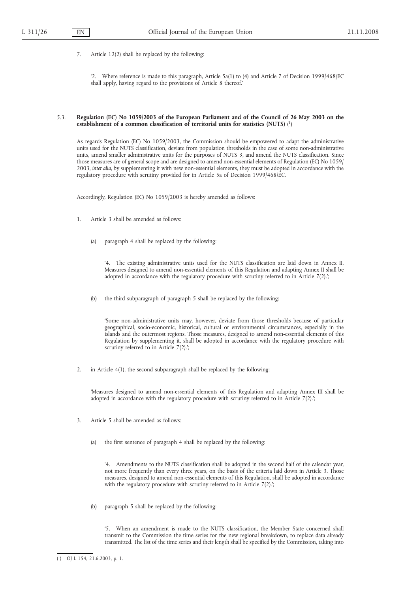7. Article 12(2) shall be replaced by the following:

'2. Where reference is made to this paragraph, Article 5a(1) to (4) and Article 7 of Decision 1999/468/EC shall apply, having regard to the provisions of Article 8 thereof.'

# 5.3. **Regulation (EC) No 1059/2003 of the European Parliament and of the Council of 26 May 2003 on the establishment of a common classification of territorial units for statistics (NUTS)** ( 1)

As regards Regulation (EC) No 1059/2003, the Commission should be empowered to adapt the administrative units used for the NUTS classification, deviate from population thresholds in the case of some non-administrative units, amend smaller administrative units for the purposes of NUTS 3, and amend the NUTS classification. Since those measures are of general scope and are designed to amend non-essential elements of Regulation (EC) No 1059/ 2003, *inter alia*, by supplementing it with new non-essential elements, they must be adopted in accordance with the regulatory procedure with scrutiny provided for in Article 5a of Decision 1999/468/EC.

Accordingly, Regulation (EC) No 1059/2003 is hereby amended as follows:

- 1. Article 3 shall be amended as follows:
	- (a) paragraph 4 shall be replaced by the following:

'4. The existing administrative units used for the NUTS classification are laid down in Annex II. Measures designed to amend non-essential elements of this Regulation and adapting Annex II shall be adopted in accordance with the regulatory procedure with scrutiny referred to in Article 7(2).';

(b) the third subparagraph of paragraph 5 shall be replaced by the following:

'Some non-administrative units may, however, deviate from those thresholds because of particular geographical, socio-economic, historical, cultural or environmental circumstances, especially in the islands and the outermost regions. Those measures, designed to amend non-essential elements of this Regulation by supplementing it, shall be adopted in accordance with the regulatory procedure with scrutiny referred to in Article 7(2).';

2. in Article 4(1), the second subparagraph shall be replaced by the following:

'Measures designed to amend non-essential elements of this Regulation and adapting Annex III shall be adopted in accordance with the regulatory procedure with scrutiny referred to in Article 7(2).';

- 3. Article 5 shall be amended as follows:
	- (a) the first sentence of paragraph 4 shall be replaced by the following:

'4. Amendments to the NUTS classification shall be adopted in the second half of the calendar year, not more frequently than every three years, on the basis of the criteria laid down in Article 3. Those measures, designed to amend non-essential elements of this Regulation, shall be adopted in accordance with the regulatory procedure with scrutiny referred to in Article 7(2).';

(b) paragraph 5 shall be replaced by the following:

'5. When an amendment is made to the NUTS classification, the Member State concerned shall transmit to the Commission the time series for the new regional breakdown, to replace data already transmitted. The list of the time series and their length shall be specified by the Commission, taking into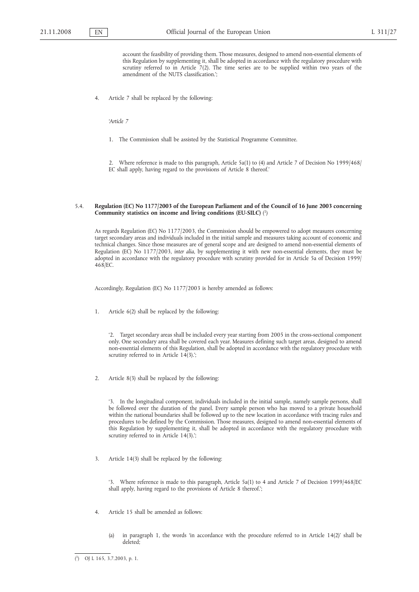account the feasibility of providing them. Those measures, designed to amend non-essential elements of this Regulation by supplementing it, shall be adopted in accordance with the regulatory procedure with scrutiny referred to in Article 7(2). The time series are to be supplied within two years of the amendment of the NUTS classification.';

4. Article 7 shall be replaced by the following:

*'Article 7*

1. The Commission shall be assisted by the Statistical Programme Committee.

2. Where reference is made to this paragraph, Article 5a(1) to (4) and Article 7 of Decision No 1999/468/ EC shall apply, having regard to the provisions of Article 8 thereof.'

### 5.4. **Regulation (EC) No 1177/2003 of the European Parliament and of the Council of 16 June 2003 concerning Community statistics on income and living conditions (EU-SILC)** ( 1)

As regards Regulation (EC) No 1177/2003, the Commission should be empowered to adopt measures concerning target secondary areas and individuals included in the initial sample and measures taking account of economic and technical changes. Since those measures are of general scope and are designed to amend non-essential elements of Regulation (EC) No 1177/2003, *inter alia*, by supplementing it with new non-essential elements, they must be adopted in accordance with the regulatory procedure with scrutiny provided for in Article 5a of Decision 1999/ 468/EC.

Accordingly, Regulation (EC) No 1177/2003 is hereby amended as follows:

1. Article 6(2) shall be replaced by the following:

'2. Target secondary areas shall be included every year starting from 2005 in the cross-sectional component only. One secondary area shall be covered each year. Measures defining such target areas, designed to amend non-essential elements of this Regulation, shall be adopted in accordance with the regulatory procedure with scrutiny referred to in Article 14(3).';

2. Article 8(3) shall be replaced by the following:

In the longitudinal component, individuals included in the initial sample, namely sample persons, shall be followed over the duration of the panel. Every sample person who has moved to a private household within the national boundaries shall be followed up to the new location in accordance with tracing rules and procedures to be defined by the Commission. Those measures, designed to amend non-essential elements of this Regulation by supplementing it, shall be adopted in accordance with the regulatory procedure with scrutiny referred to in Article  $14(3)$ .';

3. Article 14(3) shall be replaced by the following:

'3. Where reference is made to this paragraph, Article 5a(1) to 4 and Article 7 of Decision 1999/468/EC shall apply, having regard to the provisions of Article 8 thereof.';

- 4. Article 15 shall be amended as follows:
	- (a) in paragraph 1, the words 'in accordance with the procedure referred to in Article 14(2)' shall be deleted;

<sup>(</sup> 1) OJ L 165, 3.7.2003, p. 1.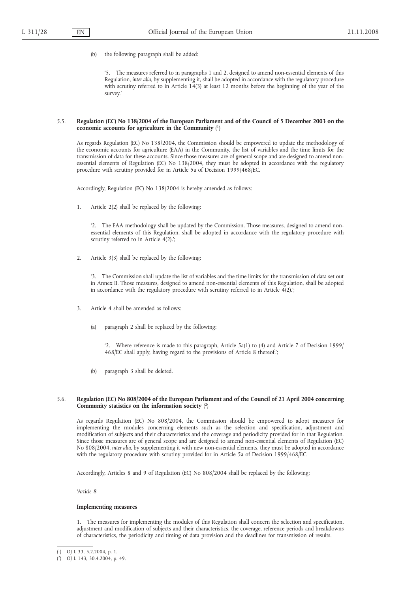(b) the following paragraph shall be added:

'5. The measures referred to in paragraphs 1 and 2, designed to amend non-essential elements of this Regulation, *inter alia*, by supplementing it, shall be adopted in accordance with the regulatory procedure with scrutiny referred to in Article 14(3) at least 12 months before the beginning of the year of the survey.'

### 5.5. **Regulation (EC) No 138/2004 of the European Parliament and of the Council of 5 December 2003 on the economic accounts for agriculture in the Community** ( 1)

As regards Regulation (EC) No 138/2004, the Commission should be empowered to update the methodology of the economic accounts for agriculture (EAA) in the Community, the list of variables and the time limits for the transmission of data for these accounts. Since those measures are of general scope and are designed to amend nonessential elements of Regulation (EC) No 138/2004, they must be adopted in accordance with the regulatory procedure with scrutiny provided for in Article 5a of Decision 1999/468/EC.

Accordingly, Regulation (EC) No 138/2004 is hereby amended as follows:

1. Article 2(2) shall be replaced by the following:

'2. The EAA methodology shall be updated by the Commission. Those measures, designed to amend nonessential elements of this Regulation, shall be adopted in accordance with the regulatory procedure with scrutiny referred to in Article 4(2).';

2. Article 3(3) shall be replaced by the following:

'3. The Commission shall update the list of variables and the time limits for the transmission of data set out in Annex II. Those measures, designed to amend non-essential elements of this Regulation, shall be adopted in accordance with the regulatory procedure with scrutiny referred to in Article  $\overline{4(2)}$ .

- 3. Article 4 shall be amended as follows:
	- (a) paragraph 2 shall be replaced by the following:

'2. Where reference is made to this paragraph, Article 5a(1) to (4) and Article 7 of Decision 1999/ 468/EC shall apply, having regard to the provisions of Article 8 thereof.';

(b) paragraph 3 shall be deleted.

# 5.6. **Regulation (EC) No 808/2004 of the European Parliament and of the Council of 21 April 2004 concerning Community statistics on the information society** ( 2)

As regards Regulation (EC) No 808/2004, the Commission should be empowered to adopt measures for implementing the modules concerning elements such as the selection and specification, adjustment and modification of subjects and their characteristics and the coverage and periodicity provided for in that Regulation. Since those measures are of general scope and are designed to amend non-essential elements of Regulation (EC) No 808/2004, *inter alia*, by supplementing it with new non-essential elements, they must be adopted in accordance with the regulatory procedure with scrutiny provided for in Article 5a of Decision 1999/468/EC.

Accordingly, Articles 8 and 9 of Regulation (EC) No 808/2004 shall be replaced by the following:

*'Article 8*

# **Implementing measures**

1. The measures for implementing the modules of this Regulation shall concern the selection and specification, adjustment and modification of subjects and their characteristics, the coverage, reference periods and breakdowns of characteristics, the periodicity and timing of data provision and the deadlines for transmission of results.

<sup>(</sup> 1) OJ L 33, 5.2.2004, p. 1.

<sup>(</sup> 2) OJ L 143, 30.4.2004, p. 49.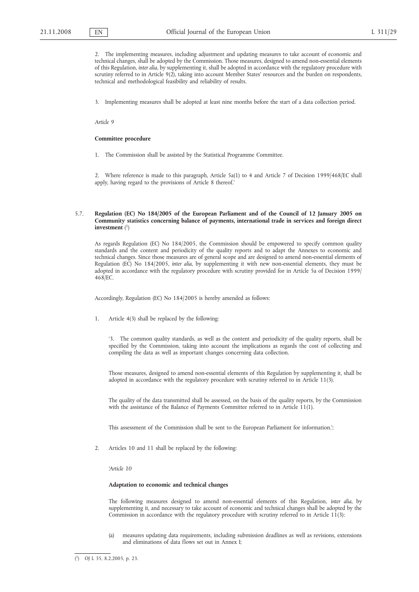2. The implementing measures, including adjustment and updating measures to take account of economic and technical changes, shall be adopted by the Commission. Those measures, designed to amend non-essential elements of this Regulation, *inter alia*, by supplementing it, shall be adopted in accordance with the regulatory procedure with scrutiny referred to in Article 9(2), taking into account Member States' resources and the burden on respondents, technical and methodological feasibility and reliability of results.

3. Implementing measures shall be adopted at least nine months before the start of a data collection period.

*Article 9*

#### **Committee procedure**

1. The Commission shall be assisted by the Statistical Programme Committee.

2. Where reference is made to this paragraph, Article 5a(1) to 4 and Article 7 of Decision 1999/468/EC shall apply, having regard to the provisions of Article 8 thereof.'

# 5.7. **Regulation (EC) No 184/2005 of the European Parliament and of the Council of 12 January 2005 on Community statistics concerning balance of payments, international trade in services and foreign direct investment** ( 1)

As regards Regulation (EC) No 184/2005, the Commission should be empowered to specify common quality standards and the content and periodicity of the quality reports and to adapt the Annexes to economic and technical changes. Since those measures are of general scope and are designed to amend non-essential elements of Regulation (EC) No 184/2005, *inter alia*, by supplementing it with new non-essential elements, they must be adopted in accordance with the regulatory procedure with scrutiny provided for in Article 5a of Decision 1999/ 468/EC.

Accordingly, Regulation (EC) No 184/2005 is hereby amended as follows:

1. Article 4(3) shall be replaced by the following:

'3. The common quality standards, as well as the content and periodicity of the quality reports, shall be specified by the Commission, taking into account the implications as regards the cost of collecting and compiling the data as well as important changes concerning data collection.

Those measures, designed to amend non-essential elements of this Regulation by supplementing it, shall be adopted in accordance with the regulatory procedure with scrutiny referred to in Article 11(3).

The quality of the data transmitted shall be assessed, on the basis of the quality reports, by the Commission with the assistance of the Balance of Payments Committee referred to in Article 11(1).

This assessment of the Commission shall be sent to the European Parliament for information.';

2. Articles 10 and 11 shall be replaced by the following:

*'Article 10*

### **Adaptation to economic and technical changes**

The following measures designed to amend non-essential elements of this Regulation, *inter alia*, by supplementing it, and necessary to take account of economic and technical changes shall be adopted by the Commission in accordance with the regulatory procedure with scrutiny referred to in Article  $11(3)$ :

(a) measures updating data requirements, including submission deadlines as well as revisions, extensions and eliminations of data flows set out in Annex I;

<sup>(</sup> 1) OJ L 35, 8.2.2005, p. 23.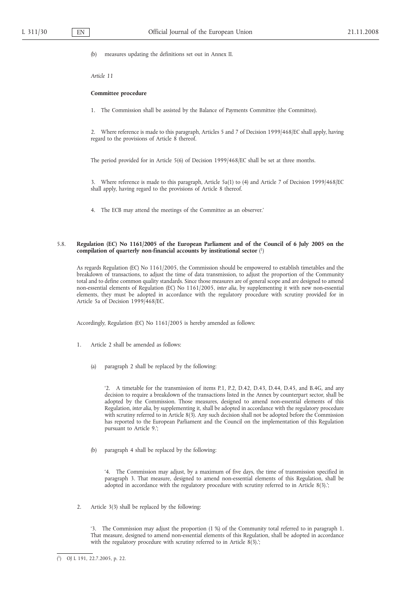(b) measures updating the definitions set out in Annex II.

*Article 11*

#### **Committee procedure**

1. The Commission shall be assisted by the Balance of Payments Committee (the Committee).

2. Where reference is made to this paragraph, Articles 5 and 7 of Decision 1999/468/EC shall apply, having regard to the provisions of Article 8 thereof.

The period provided for in Article 5(6) of Decision 1999/468/EC shall be set at three months.

3. Where reference is made to this paragraph, Article 5a(1) to (4) and Article 7 of Decision 1999/468/EC shall apply, having regard to the provisions of Article 8 thereof.

4. The ECB may attend the meetings of the Committee as an observer.'

# 5.8. **Regulation (EC) No 1161/2005 of the European Parliament and of the Council of 6 July 2005 on the compilation of quarterly non-financial accounts by institutional sector** ( 1)

As regards Regulation (EC) No 1161/2005, the Commission should be empowered to establish timetables and the breakdown of transactions, to adjust the time of data transmission, to adjust the proportion of the Community total and to define common quality standards. Since those measures are of general scope and are designed to amend non-essential elements of Regulation (EC) No 1161/2005, *inter alia*, by supplementing it with new non-essential elements, they must be adopted in accordance with the regulatory procedure with scrutiny provided for in Article 5a of Decision 1999/468/EC.

Accordingly, Regulation (EC) No 1161/2005 is hereby amended as follows:

- 1. Article 2 shall be amended as follows:
	- (a) paragraph 2 shall be replaced by the following:

'2. A timetable for the transmission of items P.1, P.2, D.42, D.43, D.44, D.45, and B.4G, and any decision to require a breakdown of the transactions listed in the Annex by counterpart sector, shall be adopted by the Commission. Those measures, designed to amend non-essential elements of this Regulation, *inter alia*, by supplementing it, shall be adopted in accordance with the regulatory procedure with scrutiny referred to in Article 8(3). Any such decision shall not be adopted before the Commission has reported to the European Parliament and the Council on the implementation of this Regulation pursuant to Article 9.';

(b) paragraph 4 shall be replaced by the following:

'4. The Commission may adjust, by a maximum of five days, the time of transmission specified in paragraph 3. That measure, designed to amend non-essential elements of this Regulation, shall be adopted in accordance with the regulatory procedure with scrutiny referred to in Article 8(3).';

2. Article 3(3) shall be replaced by the following:

'3. The Commission may adjust the proportion (1 %) of the Community total referred to in paragraph 1. That measure, designed to amend non-essential elements of this Regulation, shall be adopted in accordance with the regulatory procedure with scrutiny referred to in Article 8(3).';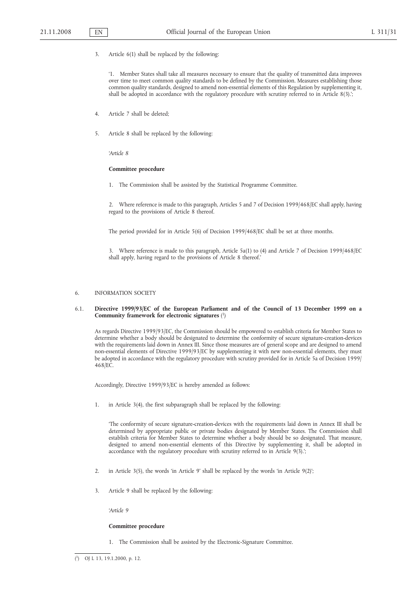3. Article 6(1) shall be replaced by the following:

'1. Member States shall take all measures necessary to ensure that the quality of transmitted data improves over time to meet common quality standards to be defined by the Commission. Measures establishing those common quality standards, designed to amend non-essential elements of this Regulation by supplementing it, shall be adopted in accordance with the regulatory procedure with scrutiny referred to in Article 8(3).';

- 4. Article 7 shall be deleted;
- 5. Article 8 shall be replaced by the following:

*'Article 8*

### **Committee procedure**

1. The Commission shall be assisted by the Statistical Programme Committee.

2. Where reference is made to this paragraph, Articles 5 and 7 of Decision 1999/468/EC shall apply, having regard to the provisions of Article 8 thereof.

The period provided for in Article 5(6) of Decision 1999/468/EC shall be set at three months.

3. Where reference is made to this paragraph, Article 5a(1) to (4) and Article 7 of Decision 1999/468/EC shall apply, having regard to the provisions of Article 8 thereof.'

#### 6. INFORMATION SOCIETY

### 6.1. **Directive 1999/93/EC of the European Parliament and of the Council of 13 December 1999 on a Community framework for electronic signatures** ( 1)

As regards Directive 1999/93/EC, the Commission should be empowered to establish criteria for Member States to determine whether a body should be designated to determine the conformity of secure signature-creation-devices with the requirements laid down in Annex III. Since those measures are of general scope and are designed to amend non-essential elements of Directive 1999/93/EC by supplementing it with new non-essential elements, they must be adopted in accordance with the regulatory procedure with scrutiny provided for in Article 5a of Decision 1999/ 468/EC.

Accordingly, Directive 1999/93/EC is hereby amended as follows:

1. in Article 3(4), the first subparagraph shall be replaced by the following:

'The conformity of secure signature-creation-devices with the requirements laid down in Annex III shall be determined by appropriate public or private bodies designated by Member States. The Commission shall establish criteria for Member States to determine whether a body should be so designated. That measure, designed to amend non-essential elements of this Directive by supplementing it, shall be adopted in accordance with the regulatory procedure with scrutiny referred to in Article 9(3).';

- 2. in Article 3(5), the words 'in Article 9' shall be replaced by the words 'in Article 9(2)';
- 3. Article 9 shall be replaced by the following:

*'Article 9*

#### **Committee procedure**

1. The Commission shall be assisted by the Electronic-Signature Committee.

 $(1)$ 1) OJ L 13, 19.1.2000, p. 12.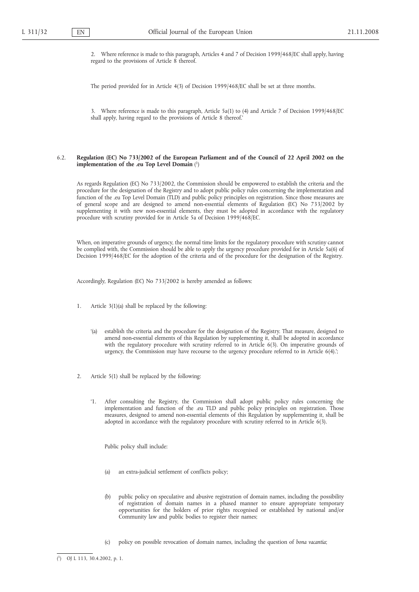2. Where reference is made to this paragraph, Articles 4 and 7 of Decision 1999/468/EC shall apply, having regard to the provisions of Article 8 thereof.

The period provided for in Article 4(3) of Decision 1999/468/EC shall be set at three months.

3. Where reference is made to this paragraph, Article 5a(1) to (4) and Article 7 of Decision 1999/468/EC shall apply, having regard to the provisions of Article 8 thereof.'

# 6.2. **Regulation (EC) No 733/2002 of the European Parliament and of the Council of 22 April 2002 on the implementation of the .eu Top Level Domain** ( 1)

As regards Regulation (EC) No 733/2002, the Commission should be empowered to establish the criteria and the procedure for the designation of the Registry and to adopt public policy rules concerning the implementation and function of the .eu Top Level Domain (TLD) and public policy principles on registration. Since those measures are of general scope and are designed to amend non-essential elements of Regulation (EC) No 733/2002 by supplementing it with new non-essential elements, they must be adopted in accordance with the regulatory procedure with scrutiny provided for in Article 5a of Decision 1999/468/EC.

When, on imperative grounds of urgency, the normal time limits for the regulatory procedure with scrutiny cannot be complied with, the Commission should be able to apply the urgency procedure provided for in Article 5a(6) of Decision 1999/468/EC for the adoption of the criteria and of the procedure for the designation of the Registry.

Accordingly, Regulation (EC) No 733/2002 is hereby amended as follows:

- 1. Article 3(1)(a) shall be replaced by the following:
	- '(a) establish the criteria and the procedure for the designation of the Registry. That measure, designed to amend non-essential elements of this Regulation by supplementing it, shall be adopted in accordance with the regulatory procedure with scrutiny referred to in Article 6(3). On imperative grounds of urgency, the Commission may have recourse to the urgency procedure referred to in Article 6(4).';
- 2. Article 5(1) shall be replaced by the following:
	- '1. After consulting the Registry, the Commission shall adopt public policy rules concerning the implementation and function of the .eu TLD and public policy principles on registration. Those measures, designed to amend non-essential elements of this Regulation by supplementing it, shall be adopted in accordance with the regulatory procedure with scrutiny referred to in Article 6(3).

Public policy shall include:

- (a) an extra-judicial settlement of conflicts policy;
- (b) public policy on speculative and abusive registration of domain names, including the possibility of registration of domain names in a phased manner to ensure appropriate temporary opportunities for the holders of prior rights recognised or established by national and/or Community law and public bodies to register their names;
- (c) policy on possible revocation of domain names, including the question of *bona vacantia*;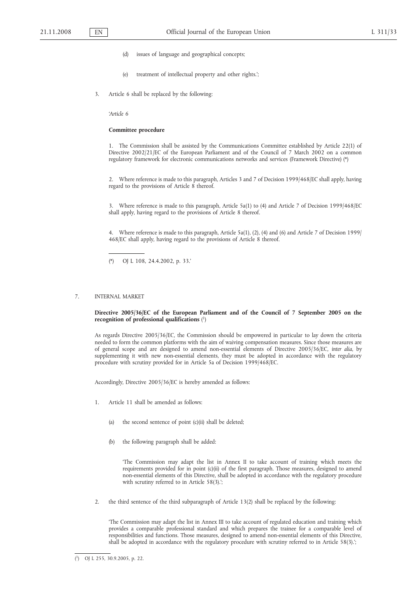- (d) issues of language and geographical concepts;
- (e) treatment of intellectual property and other rights.';
- 3. Article 6 shall be replaced by the following:

*'Article 6*

#### **Committee procedure**

1. The Commission shall be assisted by the Communications Committee established by Article 22(1) of Directive 2002/21/EC of the European Parliament and of the Council of 7 March 2002 on a common regulatory framework for electronic communications networks and services (Framework Directive) (\*)

2. Where reference is made to this paragraph, Articles 3 and 7 of Decision 1999/468/EC shall apply, having regard to the provisions of Article 8 thereof.

3. Where reference is made to this paragraph, Article 5a(1) to (4) and Article 7 of Decision 1999/468/EC shall apply, having regard to the provisions of Article 8 thereof.

4. Where reference is made to this paragraph, Article 5a(1), (2), (4) and (6) and Article 7 of Decision 1999/ 468/EC shall apply, having regard to the provisions of Article 8 thereof.

(\*) OJ L 108, 24.4.2002, p. 33.'

# 7. INTERNAL MARKET

### **Directive 2005/36/EC of the European Parliament and of the Council of 7 September 2005 on the recognition of professional qualifications** ( 1)

As regards Directive 2005/36/EC, the Commission should be empowered in particular to lay down the criteria needed to form the common platforms with the aim of waiving compensation measures. Since those measures are of general scope and are designed to amend non-essential elements of Directive 2005/36/EC, *inter alia*, by supplementing it with new non-essential elements, they must be adopted in accordance with the regulatory procedure with scrutiny provided for in Article 5a of Decision 1999/468/EC.

Accordingly, Directive 2005/36/EC is hereby amended as follows:

- 1. Article 11 shall be amended as follows:
	- (a) the second sentence of point (c)(ii) shall be deleted;
	- (b) the following paragraph shall be added:

'The Commission may adapt the list in Annex II to take account of training which meets the requirements provided for in point (c)(ii) of the first paragraph. Those measures, designed to amend non-essential elements of this Directive, shall be adopted in accordance with the regulatory procedure with scrutiny referred to in Article 58(3).';

2. the third sentence of the third subparagraph of Article 13(2) shall be replaced by the following:

'The Commission may adapt the list in Annex III to take account of regulated education and training which provides a comparable professional standard and which prepares the trainee for a comparable level of responsibilities and functions. Those measures, designed to amend non-essential elements of this Directive, shall be adopted in accordance with the regulatory procedure with scrutiny referred to in Article 58(3).';

 $(1)$ 1) OJ L 255, 30.9.2005, p. 22.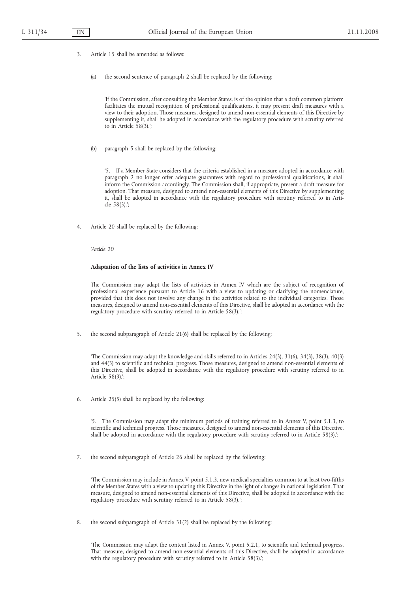- 3. Article 15 shall be amended as follows:
	- (a) the second sentence of paragraph 2 shall be replaced by the following:

'If the Commission, after consulting the Member States, is of the opinion that a draft common platform facilitates the mutual recognition of professional qualifications, it may present draft measures with a view to their adoption. Those measures, designed to amend non-essential elements of this Directive by supplementing it, shall be adopted in accordance with the regulatory procedure with scrutiny referred to in Article 58(3).';

(b) paragraph 5 shall be replaced by the following:

'5. If a Member State considers that the criteria established in a measure adopted in accordance with paragraph 2 no longer offer adequate guarantees with regard to professional qualifications, it shall inform the Commission accordingly. The Commission shall, if appropriate, present a draft measure for adoption. That measure, designed to amend non-essential elements of this Directive by supplementing it, shall be adopted in accordance with the regulatory procedure with scrutiny referred to in Article 58(3).';

Article 20 shall be replaced by the following:

*'Article 20*

# **Adaptation of the lists of activities in Annex IV**

The Commission may adapt the lists of activities in Annex IV which are the subject of recognition of professional experience pursuant to Article 16 with a view to updating or clarifying the nomenclature, provided that this does not involve any change in the activities related to the individual categories. Those measures, designed to amend non-essential elements of this Directive, shall be adopted in accordance with the regulatory procedure with scrutiny referred to in Article 58(3).';

5. the second subparagraph of Article 21(6) shall be replaced by the following:

'The Commission may adapt the knowledge and skills referred to in Articles 24(3), 31(6), 34(3), 38(3), 40(3) and 44(3) to scientific and technical progress. Those measures, designed to amend non-essential elements of this Directive, shall be adopted in accordance with the regulatory procedure with scrutiny referred to in Article 58(3).';

6. Article 25(5) shall be replaced by the following:

'5. The Commission may adapt the minimum periods of training referred to in Annex V, point 5.1.3, to scientific and technical progress. Those measures, designed to amend non-essential elements of this Directive, shall be adopted in accordance with the regulatory procedure with scrutiny referred to in Article 58(3).';

7. the second subparagraph of Article 26 shall be replaced by the following:

'The Commission may include in Annex V, point 5.1.3, new medical specialties common to at least two-fifths of the Member States with a view to updating this Directive in the light of changes in national legislation. That measure, designed to amend non-essential elements of this Directive, shall be adopted in accordance with the regulatory procedure with scrutiny referred to in Article 58(3).';

8. the second subparagraph of Article 31(2) shall be replaced by the following:

'The Commission may adapt the content listed in Annex V, point 5.2.1, to scientific and technical progress. That measure, designed to amend non-essential elements of this Directive, shall be adopted in accordance with the regulatory procedure with scrutiny referred to in Article 58(3).';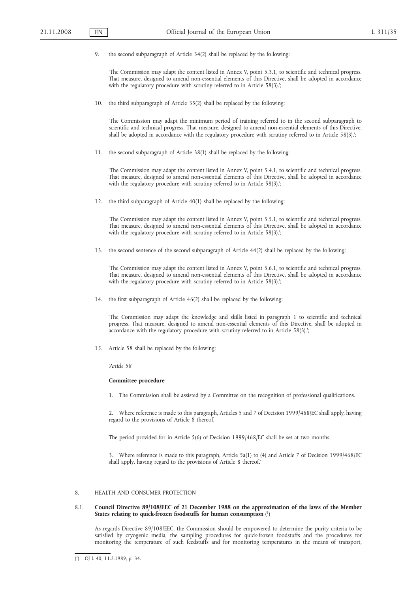9. the second subparagraph of Article 34(2) shall be replaced by the following:

'The Commission may adapt the content listed in Annex V, point 5.3.1, to scientific and technical progress. That measure, designed to amend non-essential elements of this Directive, shall be adopted in accordance with the regulatory procedure with scrutiny referred to in Article 58(3).';

10. the third subparagraph of Article 35(2) shall be replaced by the following:

'The Commission may adapt the minimum period of training referred to in the second subparagraph to scientific and technical progress. That measure, designed to amend non-essential elements of this Directive, shall be adopted in accordance with the regulatory procedure with scrutiny referred to in Article 58(3).';

11. the second subparagraph of Article 38(1) shall be replaced by the following:

'The Commission may adapt the content listed in Annex V, point 5.4.1, to scientific and technical progress. That measure, designed to amend non-essential elements of this Directive, shall be adopted in accordance with the regulatory procedure with scrutiny referred to in Article 58(3).';

12. the third subparagraph of Article 40(1) shall be replaced by the following:

'The Commission may adapt the content listed in Annex V, point 5.5.1, to scientific and technical progress. That measure, designed to amend non-essential elements of this Directive, shall be adopted in accordance with the regulatory procedure with scrutiny referred to in Article 58(3).';

13. the second sentence of the second subparagraph of Article 44(2) shall be replaced by the following:

'The Commission may adapt the content listed in Annex V, point 5.6.1, to scientific and technical progress. That measure, designed to amend non-essential elements of this Directive, shall be adopted in accordance with the regulatory procedure with scrutiny referred to in Article 58(3).';

14. the first subparagraph of Article 46(2) shall be replaced by the following:

'The Commission may adapt the knowledge and skills listed in paragraph 1 to scientific and technical progress. That measure, designed to amend non-essential elements of this Directive, shall be adopted in accordance with the regulatory procedure with scrutiny referred to in Article 58(3).';

15. Article 58 shall be replaced by the following:

*'Article 58*

### **Committee procedure**

1. The Commission shall be assisted by a Committee on the recognition of professional qualifications.

2. Where reference is made to this paragraph, Articles 5 and 7 of Decision 1999/468/EC shall apply, having regard to the provisions of Article 8 thereof.

The period provided for in Article 5(6) of Decision 1999/468/EC shall be set at two months.

3. Where reference is made to this paragraph, Article 5a(1) to (4) and Article 7 of Decision 1999/468/EC shall apply, having regard to the provisions of Article 8 thereof.'

#### 8. HEALTH AND CONSUMER PROTECTION

# 8.1. **Council Directive 89/108/EEC of 21 December 1988 on the approximation of the laws of the Member States relating to quick-frozen foodstuffs for human consumption** ( 1)

As regards Directive 89/108/EEC, the Commission should be empowered to determine the purity criteria to be satisfied by cryogenic media, the sampling procedures for quick-frozen foodstuffs and the procedures for monitoring the temperature of such feedstuffs and for monitoring temperatures in the means of transport,

<sup>(</sup> 1) OJ L 40, 11.2.1989, p. 34.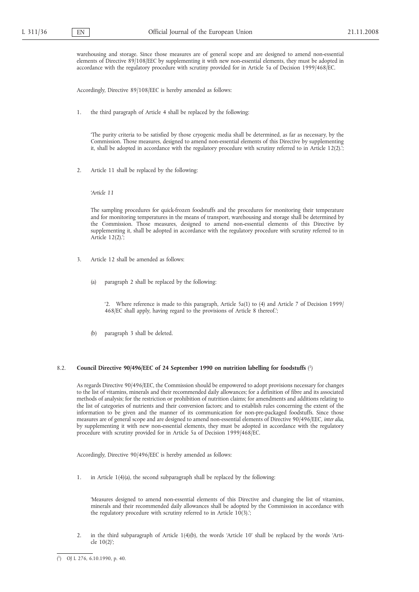warehousing and storage. Since those measures are of general scope and are designed to amend non-essential elements of Directive 89/108/EEC by supplementing it with new non-essential elements, they must be adopted in accordance with the regulatory procedure with scrutiny provided for in Article 5a of Decision 1999/468/EC.

Accordingly, Directive 89/108/EEC is hereby amended as follows:

1. the third paragraph of Article 4 shall be replaced by the following:

'The purity criteria to be satisfied by those cryogenic media shall be determined, as far as necessary, by the Commission. Those measures, designed to amend non-essential elements of this Directive by supplementing it, shall be adopted in accordance with the regulatory procedure with scrutiny referred to in Article 12(2).';

2. Article 11 shall be replaced by the following:

*'Article 11*

The sampling procedures for quick-frozen foodstuffs and the procedures for monitoring their temperature and for monitoring temperatures in the means of transport, warehousing and storage shall be determined by the Commission. Those measures, designed to amend non-essential elements of this Directive by supplementing it, shall be adopted in accordance with the regulatory procedure with scrutiny referred to in Article 12(2).';

- 3. Article 12 shall be amended as follows:
	- (a) paragraph 2 shall be replaced by the following:

'2. Where reference is made to this paragraph, Article 5a(1) to (4) and Article 7 of Decision 1999/ 468/EC shall apply, having regard to the provisions of Article 8 thereof.';

(b) paragraph 3 shall be deleted.

#### 8.2. **Council Directive 90/496/EEC of 24 September 1990 on nutrition labelling for foodstuffs** ( 1)

As regards Directive 90/496/EEC, the Commission should be empowered to adopt provisions necessary for changes to the list of vitamins, minerals and their recommended daily allowances; for a definition of fibre and its associated methods of analysis; for the restriction or prohibition of nutrition claims; for amendments and additions relating to the list of categories of nutrients and their conversion factors; and to establish rules concerning the extent of the information to be given and the manner of its communication for non-pre-packaged foodstuffs. Since those measures are of general scope and are designed to amend non-essential elements of Directive 90/496/EEC, *inter alia*, by supplementing it with new non-essential elements, they must be adopted in accordance with the regulatory procedure with scrutiny provided for in Article 5a of Decision 1999/468/EC.

Accordingly, Directive 90/496/EEC is hereby amended as follows:

1. in Article 1(4)(a), the second subparagraph shall be replaced by the following:

'Measures designed to amend non-essential elements of this Directive and changing the list of vitamins, minerals and their recommended daily allowances shall be adopted by the Commission in accordance with the regulatory procedure with scrutiny referred to in Article 10(3).';

2. in the third subparagraph of Article 1(4)(b), the words 'Article 10' shall be replaced by the words 'Article 10(2)';

<sup>(</sup> 1) OJ L 276, 6.10.1990, p. 40.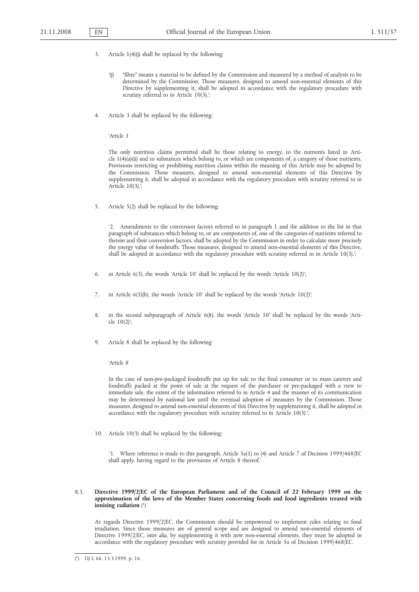- 3. Article 1(4)(j) shall be replaced by the following:
	- '(j) "fibre" means a material to be defined by the Commission and measured by a method of analysis to be determined by the Commission. Those measures, designed to amend non-essential elements of this Directive by supplementing it, shall be adopted in accordance with the regulatory procedure with scrutiny referred to in Article 10(3).';
- 4. Article 3 shall be replaced by the following:

*'Article 3*

The only nutrition claims permitted shall be those relating to energy, to the nutrients listed in Article 1(4)(a)(ii) and to substances which belong to, or which are components of, a category of those nutrients. Provisions restricting or prohibiting nutrition claims within the meaning of this Article may be adopted by the Commission. Those measures, designed to amend non-essential elements of this Directive by supplementing it, shall be adopted in accordance with the regulatory procedure with scrutiny referred to in Article 10(3).';

5. Article 5(2) shall be replaced by the following:

'2. Amendments to the conversion factors referred to in paragraph 1 and the addition to the list in that paragraph of substances which belong to, or are components of, one of the categories of nutrients referred to therein and their conversion factors, shall be adopted by the Commission in order to calculate more precisely the energy value of foodstuffs. Those measures, designed to amend non-essential elements of this Directive, shall be adopted in accordance with the regulatory procedure with scrutiny referred to in Article 10(3).';

- 6. in Article 6(3), the words 'Article 10' shall be replaced by the words 'Article 10(2)';
- 7. in Article 6(5)(b), the words 'Article 10' shall be replaced by the words 'Article 10(2)';
- 8. in the second subparagraph of Article 6(8), the words 'Article 10' shall be replaced by the words 'Article 10(2)';
- 9. Article 8 shall be replaced by the following:

*'Article 8*

In the case of non-pre-packaged foodstuffs put up for sale to the final consumer or to mass caterers and foodstuffs packed at the point of sale at the request of the purchaser or pre-packaged with a view to immediate sale, the extent of the information referred to in Article 4 and the manner of its communication may be determined by national law until the eventual adoption of measures by the Commission. Those measures, designed to amend non-essential elements of this Directive by supplementing it, shall be adopted in accordance with the regulatory procedure with scrutiny referred to in Article 10(3).';

10. Article 10(3) shall be replaced by the following:

'3. Where reference is made to this paragraph, Article 5a(1) to (4) and Article 7 of Decision 1999/468/EC shall apply, having regard to the provisions of Article 8 thereof.'

# 8.3. **Directive 1999/2/EC of the European Parliament and of the Council of 22 February 1999 on the approximation of the laws of the Member States concerning foods and food ingredients treated with ionising radiation** ( 1)

As regards Directive 1999/2/EC, the Commission should be empowered to implement rules relating to food irradiation. Since those measures are of general scope and are designed to amend non-essential elements of Directive 1999/2/EC, *inter alia*, by supplementing it with new non-essential elements, they must be adopted in accordance with the regulatory procedure with scrutiny provided for in Article 5a of Decision 1999/468/EC.

<sup>(</sup> 1) OJ L 66, 13.3.1999, p. 16.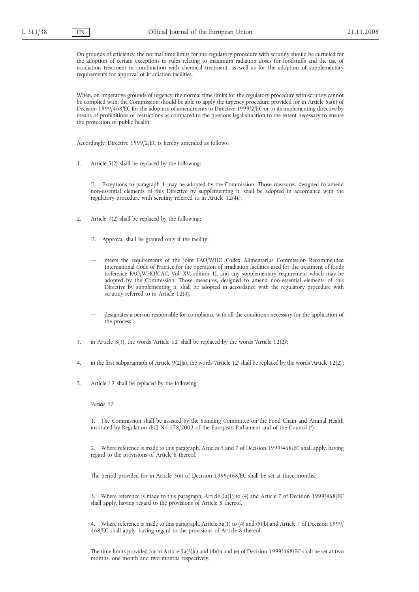On grounds of efficiency, the normal time limits for the regulatory procedure with scrutiny should be curtailed for the adoption of certain exceptions to rules relating to maximum radiation doses for foodstuffs and the use of irradiation treatment in combination with chemical treatment, as well as for the adoption of supplementary requirements for approval of irradiation facilities.

When, on imperative grounds of urgency, the normal time limits for the regulatory procedure with scrutiny cannot be complied with, the Commission should be able to apply the urgency procedure provided for in Article 5a(6) of Decision 1999/468/EC for the adoption of amendments to Directive 1999/2/EC or to its implementing directive by means of prohibitions or restrictions as compared to the previous legal situation to the extent necessary to ensure the protection of public health.

Accordingly, Directive 1999/2/EC is hereby amended as follows:

1. Article 5(2) shall be replaced by the following:

'2. Exceptions to paragraph 1 may be adopted by the Commission. Those measures, designed to amend non-essential elements of this Directive by supplementing it, shall be adopted in accordance with the regulatory procedure with scrutiny referred to in Article 12(4).';

- 2. Article 7(2) shall be replaced by the following:
	- '2. Approval shall be granted only if the facility:
	- meets the requirements of the joint FAO/WHO Codex Alimentarius Commission Recommended International Code of Practice for the operation of irradiation facilities used for the treatment of foods (reference FAO/WHO/CAC, Vol. XV, edition 1), and any supplementary requirement which may be adopted by the Commission. Those measures, designed to amend non-essential elements of this Directive by supplementing it, shall be adopted in accordance with the regulatory procedure with scrutiny referred to in Article 12(4),
	- designates a person responsible for compliance with all the conditions necessary for the application of the process.';
- 3. in Article 8(3), the words 'Article 12' shall be replaced by the words 'Article 12(2)';
- 4. in the first subparagraph of Article 9(2)(a), the words 'Article 12' shall be replaced by the words 'Article 12(2)';
- 5. Article 12 shall be replaced by the following:

### *'Article 12*

1. The Commission shall be assisted by the Standing Committee on the Food Chain and Animal Health instituted by Regulation (EC) No 178/2002 of the European Parliament and of the Council (\*).

2. Where reference is made to this paragraph, Articles 5 and 7 of Decision 1999/468/EC shall apply, having regard to the provisions of Article 8 thereof.

The period provided for in Article 5(6) of Decision 1999/468/EC shall be set at three months.

3. Where reference is made to this paragraph, Article 5a(1) to (4) and Article 7 of Decision 1999/468/EC shall apply, having regard to the provisions of Article 8 thereof.

4. Where reference is made to this paragraph, Article 5a(1) to (4) and (5)(b) and Article 7 of Decision 1999/ 468/EC shall apply, having regard to the provisions of Article 8 thereof.

The time limits provided for in Article 5a(3)(c) and (4)(b) and (e) of Decision 1999/468/EC shall be set at two months, one month and two months respectively.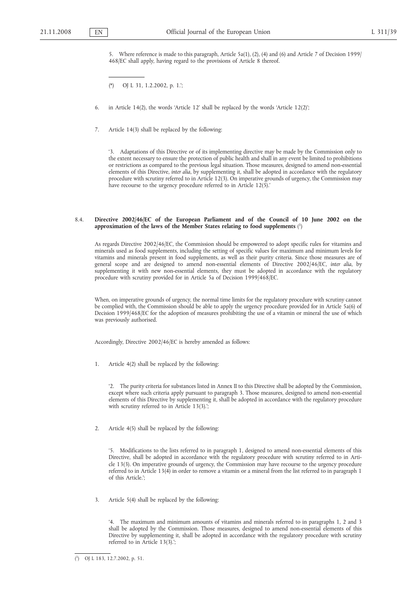5. Where reference is made to this paragraph, Article 5a(1), (2), (4) and (6) and Article 7 of Decision 1999/ 468/EC shall apply, having regard to the provisions of Article 8 thereof.

(\*) OJ L 31, 1.2.2002, p. 1.';

6. in Article 14(2), the words 'Article 12' shall be replaced by the words 'Article 12(2)';

7. Article 14(3) shall be replaced by the following:

'3. Adaptations of this Directive or of its implementing directive may be made by the Commission only to the extent necessary to ensure the protection of public health and shall in any event be limited to prohibitions or restrictions as compared to the previous legal situation. Those measures, designed to amend non-essential elements of this Directive, *inter alia*, by supplementing it, shall be adopted in accordance with the regulatory procedure with scrutiny referred to in Article 12(3). On imperative grounds of urgency, the Commission may have recourse to the urgency procedure referred to in Article 12(5).'

# 8.4. **Directive 2002/46/EC of the European Parliament and of the Council of 10 June 2002 on the approximation of the laws of the Member States relating to food supplements** ( 1)

As regards Directive 2002/46/EC, the Commission should be empowered to adopt specific rules for vitamins and minerals used as food supplements, including the setting of specific values for maximum and minimum levels for vitamins and minerals present in food supplements, as well as their purity criteria. Since those measures are of general scope and are designed to amend non-essential elements of Directive 2002/46/EC, *inter alia*, by supplementing it with new non-essential elements, they must be adopted in accordance with the regulatory procedure with scrutiny provided for in Article 5a of Decision 1999/468/EC.

When, on imperative grounds of urgency, the normal time limits for the regulatory procedure with scrutiny cannot be complied with, the Commission should be able to apply the urgency procedure provided for in Article 5a(6) of Decision 1999/468/EC for the adoption of measures prohibiting the use of a vitamin or mineral the use of which was previously authorised.

Accordingly, Directive 2002/46/EC is hereby amended as follows:

1. Article 4(2) shall be replaced by the following:

'2. The purity criteria for substances listed in Annex II to this Directive shall be adopted by the Commission, except where such criteria apply pursuant to paragraph 3. Those measures, designed to amend non-essential elements of this Directive by supplementing it, shall be adopted in accordance with the regulatory procedure with scrutiny referred to in Article 13(3).';

2. Article 4(5) shall be replaced by the following:

'5. Modifications to the lists referred to in paragraph 1, designed to amend non-essential elements of this Directive, shall be adopted in accordance with the regulatory procedure with scrutiny referred to in Article 13(3). On imperative grounds of urgency, the Commission may have recourse to the urgency procedure referred to in Article 13(4) in order to remove a vitamin or a mineral from the list referred to in paragraph 1 of this Article.';

3. Article 5(4) shall be replaced by the following:

The maximum and minimum amounts of vitamins and minerals referred to in paragraphs 1, 2 and 3 shall be adopted by the Commission. Those measures, designed to amend non-essential elements of this Directive by supplementing it, shall be adopted in accordance with the regulatory procedure with scrutiny referred to in Article 13(3).';

<sup>(</sup> 1) OJ L 183, 12.7.2002, p. 51.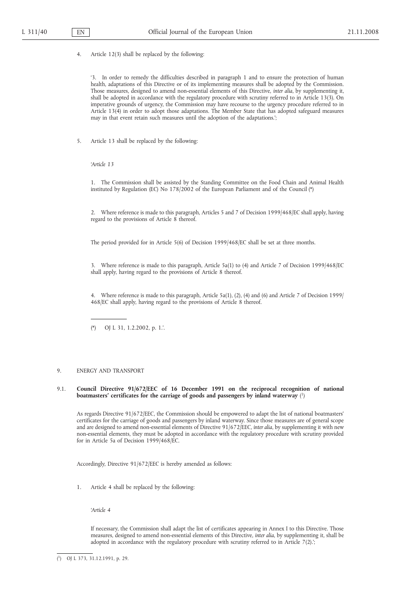4. Article 12(3) shall be replaced by the following:

'3. In order to remedy the difficulties described in paragraph 1 and to ensure the protection of human health, adaptations of this Directive or of its implementing measures shall be adopted by the Commission. Those measures, designed to amend non-essential elements of this Directive, *inter alia*, by supplementing it, shall be adopted in accordance with the regulatory procedure with scrutiny referred to in Article 13(3). On imperative grounds of urgency, the Commission may have recourse to the urgency procedure referred to in Article 13(4) in order to adopt those adaptations. The Member State that has adopted safeguard measures may in that event retain such measures until the adoption of the adaptations.';

5. Article 13 shall be replaced by the following:

*'Article 13*

1. The Commission shall be assisted by the Standing Committee on the Food Chain and Animal Health instituted by Regulation (EC) No  $178/2002$  of the European Parliament and of the Council (\*)

2. Where reference is made to this paragraph, Articles 5 and 7 of Decision 1999/468/EC shall apply, having regard to the provisions of Article 8 thereof.

The period provided for in Article 5(6) of Decision 1999/468/EC shall be set at three months.

3. Where reference is made to this paragraph, Article 5a(1) to (4) and Article 7 of Decision 1999/468/EC shall apply, having regard to the provisions of Article 8 thereof.

4. Where reference is made to this paragraph, Article 5a(1), (2), (4) and (6) and Article 7 of Decision 1999/ 468/EC shall apply, having regard to the provisions of Article 8 thereof.

(\*) OJ L 31, 1.2.2002, p. 1.'.

#### 9. ENERGY AND TRANSPORT

# 9.1. **Council Directive 91/672/EEC of 16 December 1991 on the reciprocal recognition of national boatmasters' certificates for the carriage of goods and passengers by inland waterway** ( 1)

As regards Directive 91/672/EEC, the Commission should be empowered to adapt the list of national boatmasters' certificates for the carriage of goods and passengers by inland waterway. Since those measures are of general scope and are designed to amend non-essential elements of Directive 91/672/EEC, *inter alia*, by supplementing it with new non-essential elements, they must be adopted in accordance with the regulatory procedure with scrutiny provided for in Article 5a of Decision 1999/468/EC.

Accordingly, Directive 91/672/EEC is hereby amended as follows:

1. Article 4 shall be replaced by the following:

*'Article 4*

If necessary, the Commission shall adapt the list of certificates appearing in Annex I to this Directive. Those measures, designed to amend non-essential elements of this Directive, *inter alia*, by supplementing it, shall be adopted in accordance with the regulatory procedure with scrutiny referred to in Article 7(2).';

( 1) OJ L 373, 31.12.1991, p. 29.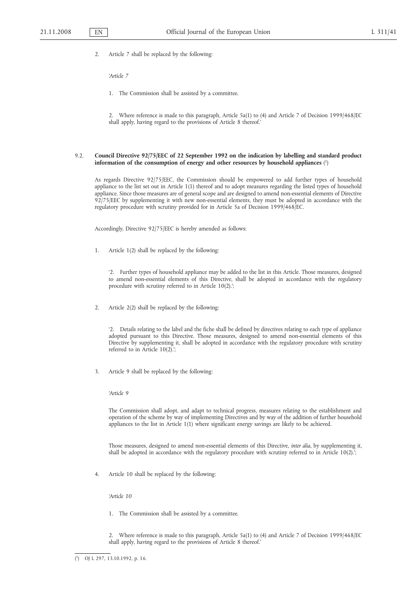2. Article 7 shall be replaced by the following:

*'Article 7*

1. The Commission shall be assisted by a committee.

2. Where reference is made to this paragraph, Article 5a(1) to (4) and Article 7 of Decision 1999/468/EC shall apply, having regard to the provisions of Article 8 thereof.'

# 9.2. **Council Directive 92/75/EEC of 22 September 1992 on the indication by labelling and standard product information of the consumption of energy and other resources by household appliances** ( 1)

As regards Directive 92/75/EEC, the Commission should be empowered to add further types of household appliance to the list set out in Article 1(1) thereof and to adopt measures regarding the listed types of household appliance. Since those measures are of general scope and are designed to amend non-essential elements of Directive 92/75/EEC by supplementing it with new non-essential elements, they must be adopted in accordance with the regulatory procedure with scrutiny provided for in Article 5a of Decision 1999/468/EC.

Accordingly, Directive 92/75/EEC is hereby amended as follows:

1. Article 1(2) shall be replaced by the following:

'2. Further types of household appliance may be added to the list in this Article. Those measures, designed to amend non-essential elements of this Directive, shall be adopted in accordance with the regulatory procedure with scrutiny referred to in Article 10(2).';

2. Article 2(2) shall be replaced by the following:

'2. Details relating to the label and the fiche shall be defined by directives relating to each type of appliance adopted pursuant to this Directive. Those measures, designed to amend non-essential elements of this Directive by supplementing it, shall be adopted in accordance with the regulatory procedure with scrutiny referred to in Article 10(2).';

3. Article 9 shall be replaced by the following:

*'Article 9*

The Commission shall adopt, and adapt to technical progress, measures relating to the establishment and operation of the scheme by way of implementing Directives and by way of the addition of further household appliances to the list in Article 1(1) where significant energy savings are likely to be achieved.

Those measures, designed to amend non-essential elements of this Directive, *inter alia*, by supplementing it, shall be adopted in accordance with the regulatory procedure with scrutiny referred to in Article 10(2).';

4. Article 10 shall be replaced by the following:

*'Article 10*

1. The Commission shall be assisted by a committee.

2. Where reference is made to this paragraph, Article 5a(1) to (4) and Article 7 of Decision 1999/468/EC shall apply, having regard to the provisions of Article 8 thereof.'

 $(1)$ 1) OJ L 297, 13.10.1992, p. 16.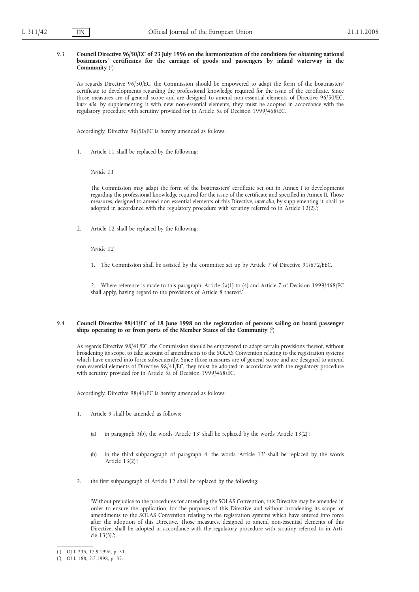# 9.3. **Council Directive 96/50/EC of 23 July 1996 on the harmonization of the conditions for obtaining national boatmasters' certificates for the carriage of goods and passengers by inland waterway in the Community** ( 1)

As regards Directive 96/50/EC, the Commission should be empowered to adapt the form of the boatmasters' certificate to developments regarding the professional knowledge required for the issue of the certificate. Since those measures are of general scope and are designed to amend non-essential elements of Directive 96/50/EC, *inter alia*, by supplementing it with new non-essential elements, they must be adopted in accordance with the regulatory procedure with scrutiny provided for in Article 5a of Decision 1999/468/EC.

Accordingly, Directive 96/50/EC is hereby amended as follows:

1. Article 11 shall be replaced by the following:

*'Article 11*

The Commission may adapt the form of the boatmasters' certificate set out in Annex I to developments regarding the professional knowledge required for the issue of the certificate and specified in Annex II. Those measures, designed to amend non-essential elements of this Directive, *inter alia*, by supplementing it, shall be adopted in accordance with the regulatory procedure with scrutiny referred to in Article 12(2).';

2. Article 12 shall be replaced by the following:

*'Article 12*

1. The Commission shall be assisted by the committee set up by Article 7 of Directive 91/672/EEC.

2. Where reference is made to this paragraph, Article 5a(1) to (4) and Article 7 of Decision 1999/468/EC shall apply, having regard to the provisions of Article 8 thereof.'

# 9.4. **Council Directive 98/41/EC of 18 June 1998 on the registration of persons sailing on board passenger ships operating to or from ports of the Member States of the Community** ( 2)

As regards Directive 98/41/EC, the Commission should be empowered to adapt certain provisions thereof, without broadening its scope, to take account of amendments to the SOLAS Convention relating to the registration systems which have entered into force subsequently. Since those measures are of general scope and are designed to amend non-essential elements of Directive 98/41/EC, they must be adopted in accordance with the regulatory procedure with scrutiny provided for in Article 5a of Decision 1999/468/EC.

Accordingly, Directive 98/41/EC is hereby amended as follows:

- 1. Article 9 shall be amended as follows:
	- (a) in paragraph 3(b), the words 'Article 13' shall be replaced by the words 'Article 13(2)';
	- (b) in the third subparagraph of paragraph 4, the words 'Article 13' shall be replaced by the words 'Article 13(2)';
- 2. the first subparagraph of Article 12 shall be replaced by the following:

'Without prejudice to the procedures for amending the SOLAS Convention, this Directive may be amended in order to ensure the application, for the purposes of this Directive and without broadening its scope, of amendments to the SOLAS Convention relating to the registration systems which have entered into force after the adoption of this Directive. Those measures, designed to amend non-essential elements of this Directive, shall be adopted in accordance with the regulatory procedure with scrutiny referred to in Article 13(3).';

<sup>(</sup> 1) OJ L 235, 17.9.1996, p. 31.

<sup>(</sup> 2) OJ L 188, 2.7.1998, p. 35.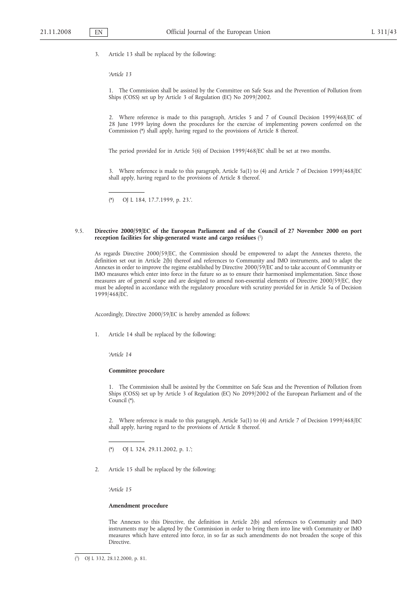3. Article 13 shall be replaced by the following:

# *'Article 13*

1. The Commission shall be assisted by the Committee on Safe Seas and the Prevention of Pollution from Ships (COSS) set up by Article 3 of Regulation (EC) No 2099/2002.

2. Where reference is made to this paragraph, Articles 5 and 7 of Council Decision 1999/468/EC of 28 June 1999 laying down the procedures for the exercise of implementing powers conferred on the Commission (\*) shall apply, having regard to the provisions of Article 8 thereof.

The period provided for in Article 5(6) of Decision 1999/468/EC shall be set at two months.

3. Where reference is made to this paragraph, Article 5a(1) to (4) and Article 7 of Decision 1999/468/EC shall apply, having regard to the provisions of Article 8 thereof.

(\*) OJ L 184, 17.7.1999, p. 23.'.

### 9.5. **Directive 2000/59/EC of the European Parliament and of the Council of 27 November 2000 on port reception facilities for ship-generated waste and cargo residues** ( 1)

As regards Directive 2000/59/EC, the Commission should be empowered to adapt the Annexes thereto, the definition set out in Article 2(b) thereof and references to Community and IMO instruments, and to adapt the Annexes in order to improve the regime established by Directive 2000/59/EC and to take account of Community or IMO measures which enter into force in the future so as to ensure their harmonised implementation. Since those measures are of general scope and are designed to amend non-essential elements of Directive 2000/59/EC, they must be adopted in accordance with the regulatory procedure with scrutiny provided for in Article 5a of Decision 1999/468/EC.

Accordingly, Directive 2000/59/EC is hereby amended as follows:

1. Article 14 shall be replaced by the following:

*'Article 14*

#### **Committee procedure**

1. The Commission shall be assisted by the Committee on Safe Seas and the Prevention of Pollution from Ships (COSS) set up by Article 3 of Regulation (EC) No 2099/2002 of the European Parliament and of the Council (\*).

2. Where reference is made to this paragraph, Article 5a(1) to (4) and Article 7 of Decision 1999/468/EC shall apply, having regard to the provisions of Article 8 thereof.

(\*) OJ L 324, 29.11.2002, p. 1.';

2. Article 15 shall be replaced by the following:

*'Article 15*

# **Amendment procedure**

The Annexes to this Directive, the definition in Article 2(b) and references to Community and IMO instruments may be adapted by the Commission in order to bring them into line with Community or IMO measures which have entered into force, in so far as such amendments do not broaden the scope of this Directive.

 $(1)$ 1) OJ L 332, 28.12.2000, p. 81.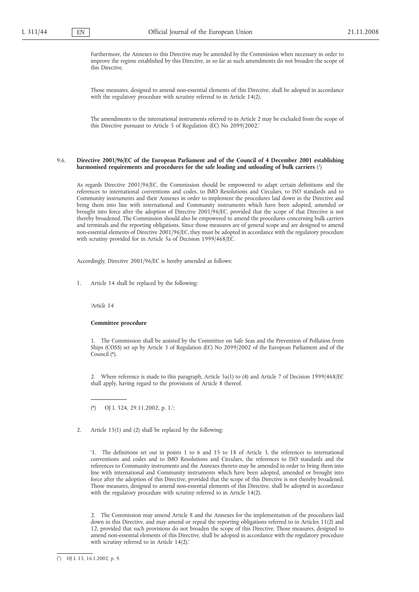Furthermore, the Annexes to this Directive may be amended by the Commission when necessary in order to improve the regime established by this Directive, in so far as such amendments do not broaden the scope of this Directive.

Those measures, designed to amend non-essential elements of this Directive, shall be adopted in accordance with the regulatory procedure with scrutiny referred to in Article 14(2).

The amendments to the international instruments referred to in Article 2 may be excluded from the scope of this Directive pursuant to Article 5 of Regulation (EC) No 2099/2002.'

# 9.6. **Directive 2001/96/EC of the European Parliament and of the Council of 4 December 2001 establishing harmonised requirements and procedures for the safe loading and unloading of bulk carriers** ( 1)

As regards Directive 2001/96/EC, the Commission should be empowered to adapt certain definitions and the references to international conventions and codes, to IMO Resolutions and Circulars, to ISO standards and to Community instruments and their Annexes in order to implement the procedures laid down in the Directive and bring them into line with international and Community instruments which have been adopted, amended or brought into force after the adoption of Directive 2001/96/EC, provided that the scope of that Directive is not thereby broadened. The Commission should also be empowered to amend the procedures concerning bulk carriers and terminals and the reporting obligations. Since those measures are of general scope and are designed to amend non-essential elements of Directive 2001/96/EC, they must be adopted in accordance with the regulatory procedure with scrutiny provided for in Article 5a of Decision 1999/468/EC.

Accordingly, Directive 2001/96/EC is hereby amended as follows:

1. Article 14 shall be replaced by the following:

*'Article 14*

### **Committee procedure**

1. The Commission shall be assisted by the Committee on Safe Seas and the Prevention of Pollution from Ships (COSS) set up by Article 3 of Regulation (EC) No 2099/2002 of the European Parliament and of the Council (\*).

2. Where reference is made to this paragraph, Article 5a(1) to (4) and Article 7 of Decision 1999/468/EC shall apply, having regard to the provisions of Article 8 thereof.

(\*) OJ L 324, 29.11.2002, p. 1.';

2. Article 15(1) and (2) shall be replaced by the following:

'1. The definitions set out in points 1 to 6 and 15 to 18 of Article 3, the references to international conventions and codes and to IMO Resolutions and Circulars, the references to ISO standards and the references to Community instruments and the Annexes thereto may be amended in order to bring them into line with international and Community instruments which have been adopted, amended or brought into force after the adoption of this Directive, provided that the scope of this Directive is not thereby broadened. Those measures, designed to amend non-essential elements of this Directive, shall be adopted in accordance with the regulatory procedure with scrutiny referred to in Article 14(2).

2. The Commission may amend Article 8 and the Annexes for the implementation of the procedures laid down in this Directive, and may amend or repeal the reporting obligations referred to in Articles 11(2) and 12, provided that such provisions do not broaden the scope of this Directive. Those measures, designed to amend non-essential elements of this Directive, shall be adopted in accordance with the regulatory procedure with scrutiny referred to in Article 14(2).'

<sup>(</sup> 1) OJ L 13, 16.1.2002, p. 9.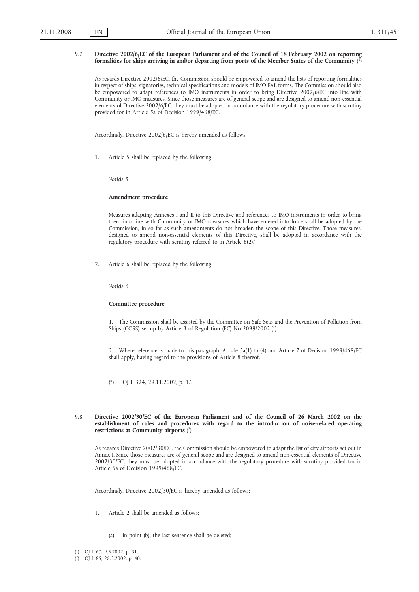# 9.7. **Directive 2002/6/EC of the European Parliament and of the Council of 18 February 2002 on reporting formalities for ships arriving in and/or departing from ports of the Member States of the Community** ( 1)

As regards Directive 2002/6/EC, the Commission should be empowered to amend the lists of reporting formalities in respect of ships, signatories, technical specifications and models of IMO FAL forms. The Commission should also be empowered to adapt references to IMO instruments in order to bring Directive 2002/6/EC into line with Community or IMO measures. Since those measures are of general scope and are designed to amend non-essential elements of Directive 2002/6/EC, they must be adopted in accordance with the regulatory procedure with scrutiny provided for in Article 5a of Decision 1999/468/EC.

Accordingly, Directive 2002/6/EC is hereby amended as follows:

1. Article 5 shall be replaced by the following:

*'Article 5*

# **Amendment procedure**

Measures adapting Annexes I and II to this Directive and references to IMO instruments in order to bring them into line with Community or IMO measures which have entered into force shall be adopted by the Commission, in so far as such amendments do not broaden the scope of this Directive. Those measures, designed to amend non-essential elements of this Directive, shall be adopted in accordance with the regulatory procedure with scrutiny referred to in Article 6(2).';

2. Article 6 shall be replaced by the following:

*'Article 6*

# **Committee procedure**

1. The Commission shall be assisted by the Committee on Safe Seas and the Prevention of Pollution from Ships (COSS) set up by Article 3 of Regulation (EC) No 2099/2002 (\*)

2. Where reference is made to this paragraph, Article 5a(1) to (4) and Article 7 of Decision 1999/468/EC shall apply, having regard to the provisions of Article 8 thereof.

(\*) OJ L 324, 29.11.2002, p. 1.'.

### 9.8. **Directive 2002/30/EC of the European Parliament and of the Council of 26 March 2002 on the establishment of rules and procedures with regard to the introduction of noise-related operating restrictions at Community airports** ( 2)

As regards Directive 2002/30/EC, the Commission should be empowered to adapt the list of city airports set out in Annex I. Since those measures are of general scope and are designed to amend non-essential elements of Directive 2002/30/EC, they must be adopted in accordance with the regulatory procedure with scrutiny provided for in Article 5a of Decision 1999/468/EC.

Accordingly, Directive 2002/30/EC is hereby amended as follows:

- 1. Article 2 shall be amended as follows:
	- (a) in point (b), the last sentence shall be deleted;

<sup>(</sup> 1) OJ L 67, 9.3.2002, p. 31.

<sup>(</sup> 2) OJ L 85, 28.3.2002, p. 40.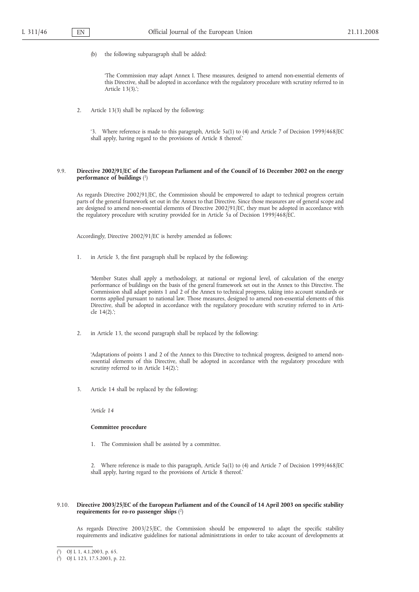(b) the following subparagraph shall be added:

'The Commission may adapt Annex I. These measures, designed to amend non-essential elements of this Directive, shall be adopted in accordance with the regulatory procedure with scrutiny referred to in Article 13(3).';

2. Article 13(3) shall be replaced by the following:

'3. Where reference is made to this paragraph, Article 5a(1) to (4) and Article 7 of Decision 1999/468/EC shall apply, having regard to the provisions of Article 8 thereof.'

### 9.9. **Directive 2002/91/EC of the European Parliament and of the Council of 16 December 2002 on the energy performance of buildings** ( 1)

As regards Directive 2002/91/EC, the Commission should be empowered to adapt to technical progress certain parts of the general framework set out in the Annex to that Directive. Since those measures are of general scope and are designed to amend non-essential elements of Directive 2002/91/EC, they must be adopted in accordance with the regulatory procedure with scrutiny provided for in Article 5a of Decision 1999/468/EC.

Accordingly, Directive 2002/91/EC is hereby amended as follows:

1. in Article 3, the first paragraph shall be replaced by the following:

'Member States shall apply a methodology, at national or regional level, of calculation of the energy performance of buildings on the basis of the general framework set out in the Annex to this Directive. The Commission shall adapt points 1 and 2 of the Annex to technical progress, taking into account standards or norms applied pursuant to national law. Those measures, designed to amend non-essential elements of this Directive, shall be adopted in accordance with the regulatory procedure with scrutiny referred to in Article 14(2).';

2. in Article 13, the second paragraph shall be replaced by the following:

'Adaptations of points 1 and 2 of the Annex to this Directive to technical progress, designed to amend nonessential elements of this Directive, shall be adopted in accordance with the regulatory procedure with scrutiny referred to in Article 14(2).';

3. Article 14 shall be replaced by the following:

*'Article 14*

#### **Committee procedure**

1. The Commission shall be assisted by a committee.

2. Where reference is made to this paragraph, Article 5a(1) to (4) and Article 7 of Decision 1999/468/EC shall apply, having regard to the provisions of Article 8 thereof.'

# 9.10. **Directive 2003/25/EC of the European Parliament and of the Council of 14 April 2003 on specific stability requirements for ro-ro passenger ships** ( 2)

As regards Directive 2003/25/EC, the Commission should be empowered to adapt the specific stability requirements and indicative guidelines for national administrations in order to take account of developments at

<sup>(</sup> 1) OJ L 1, 4.1.2003, p. 65.

<sup>(</sup> 2) OJ L 123, 17.5.2003, p. 22.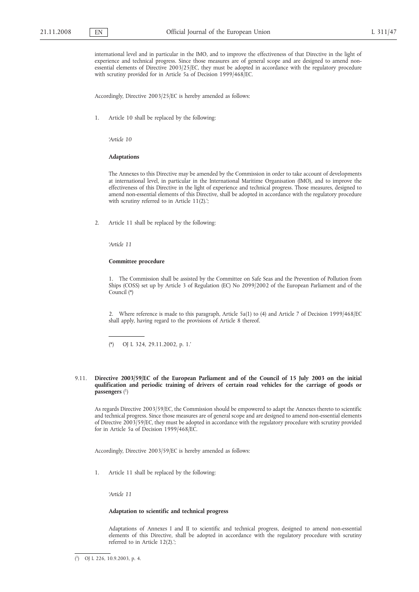international level and in particular in the IMO, and to improve the effectiveness of that Directive in the light of experience and technical progress. Since those measures are of general scope and are designed to amend nonessential elements of Directive 2003/25/EC, they must be adopted in accordance with the regulatory procedure with scrutiny provided for in Article 5a of Decision 1999/468/EC.

Accordingly, Directive 2003/25/EC is hereby amended as follows:

1. Article 10 shall be replaced by the following:

*'Article 10*

#### **Adaptations**

The Annexes to this Directive may be amended by the Commission in order to take account of developments at international level, in particular in the International Maritime Organisation (IMO), and to improve the effectiveness of this Directive in the light of experience and technical progress. Those measures, designed to amend non-essential elements of this Directive, shall be adopted in accordance with the regulatory procedure with scrutiny referred to in Article 11(2).';

2. Article 11 shall be replaced by the following:

*'Article 11*

#### **Committee procedure**

1. The Commission shall be assisted by the Committee on Safe Seas and the Prevention of Pollution from Ships (COSS) set up by Article 3 of Regulation (EC) No 2099/2002 of the European Parliament and of the Council (\*)

2. Where reference is made to this paragraph, Article 5a(1) to (4) and Article 7 of Decision 1999/468/EC shall apply, having regard to the provisions of Article 8 thereof.

(\*) OJ L 324, 29.11.2002, p. 1.'

### 9.11. **Directive 2003/59/EC of the European Parliament and of the Council of 15 July 2003 on the initial qualification and periodic training of drivers of certain road vehicles for the carriage of goods or passengers** ( 1)

As regards Directive 2003/59/EC, the Commission should be empowered to adapt the Annexes thereto to scientific and technical progress. Since those measures are of general scope and are designed to amend non-essential elements of Directive 2003/59/EC, they must be adopted in accordance with the regulatory procedure with scrutiny provided for in Article 5a of Decision 1999/468/EC.

Accordingly, Directive 2003/59/EC is hereby amended as follows:

1. Article 11 shall be replaced by the following:

*'Article 11*

# **Adaptation to scientific and technical progress**

Adaptations of Annexes I and II to scientific and technical progress, designed to amend non-essential elements of this Directive, shall be adopted in accordance with the regulatory procedure with scrutiny referred to in Article 12(2).';

 $(1)$ 1) OJ L 226, 10.9.2003, p. 4.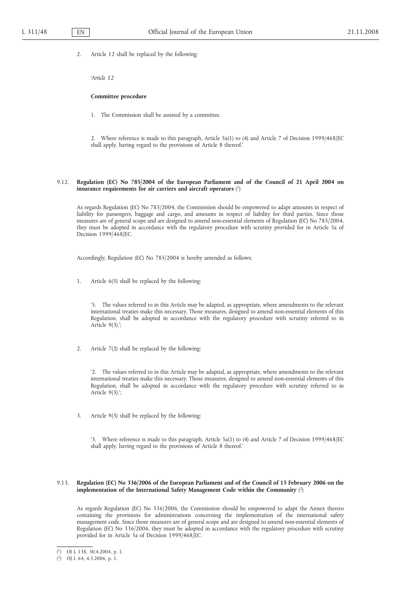2. Article 12 shall be replaced by the following:

*'Article 12*

### **Committee procedure**

1. The Commission shall be assisted by a committee.

2. Where reference is made to this paragraph, Article 5a(1) to (4) and Article 7 of Decision 1999/468/EC shall apply, having regard to the provisions of Article 8 thereof.'

# 9.12. **Regulation (EC) No 785/2004 of the European Parliament and of the Council of 21 April 2004 on insurance requirements for air carriers and aircraft operators** ( 1)

As regards Regulation (EC) No 785/2004, the Commission should be empowered to adapt amounts in respect of liability for passengers, baggage and cargo, and amounts in respect of liability for third parties. Since those measures are of general scope and are designed to amend non-essential elements of Regulation (EC) No 785/2004, they must be adopted in accordance with the regulatory procedure with scrutiny provided for in Article 5a of Decision 1999/468/EC.

Accordingly, Regulation (EC) No 785/2004 is hereby amended as follows:

1. Article 6(5) shall be replaced by the following:

'5. The values referred to in this Article may be adapted, as appropriate, where amendments to the relevant international treaties make this necessary. Those measures, designed to amend non-essential elements of this Regulation, shall be adopted in accordance with the regulatory procedure with scrutiny referred to in Article 9(3).';

2. Article 7(2) shall be replaced by the following:

'2. The values referred to in this Article may be adapted, as appropriate, where amendments to the relevant international treaties make this necessary. Those measures, designed to amend non-essential elements of this Regulation, shall be adopted in accordance with the regulatory procedure with scrutiny referred to in Article 9(3).';

3. Article 9(3) shall be replaced by the following:

'3. Where reference is made to this paragraph, Article 5a(1) to (4) and Article 7 of Decision 1999/468/EC shall apply, having regard to the provisions of Article 8 thereof.'

# 9.13. **Regulation (EC) No 336/2006 of the European Parliament and of the Council of 15 February 2006 on the implementation of the International Safety Management Code within the Community** ( 2)

As regards Regulation (EC) No 336/2006, the Commission should be empowered to adapt the Annex thereto containing the provisions for administrations concerning the implementation of the international safety management code. Since those measures are of general scope and are designed to amend non-essential elements of Regulation (EC) No 336/2006, they must be adopted in accordance with the regulatory procedure with scrutiny provided for in Article 5a of Decision 1999/468/EC.

<sup>(</sup> 1) OJ L 138, 30.4.2004, p. 1.

<sup>(</sup> 2) OJ L 64, 4.3.2006, p. 1.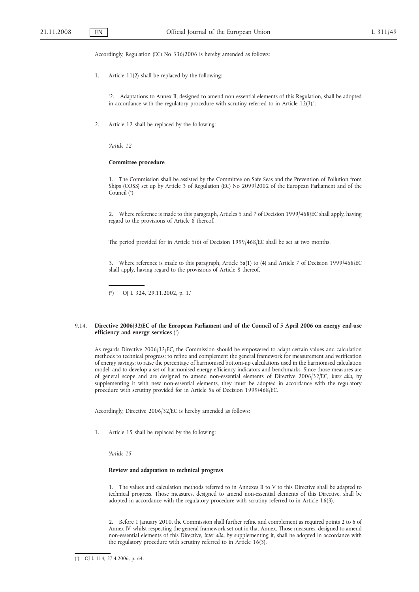Accordingly, Regulation (EC) No 336/2006 is hereby amended as follows:

1. Article 11(2) shall be replaced by the following:

'2. Adaptations to Annex II, designed to amend non-essential elements of this Regulation, shall be adopted in accordance with the regulatory procedure with scrutiny referred to in Article 12(3).';

2. Article 12 shall be replaced by the following:

*'Article 12*

# **Committee procedure**

1. The Commission shall be assisted by the Committee on Safe Seas and the Prevention of Pollution from Ships (COSS) set up by Article 3 of Regulation (EC) No 2099/2002 of the European Parliament and of the Council (\*)

2. Where reference is made to this paragraph, Articles 5 and 7 of Decision 1999/468/EC shall apply, having regard to the provisions of Article 8 thereof.

The period provided for in Article 5(6) of Decision 1999/468/EC shall be set at two months.

3. Where reference is made to this paragraph, Article 5a(1) to (4) and Article 7 of Decision 1999/468/EC shall apply, having regard to the provisions of Article 8 thereof.

# 9.14. **Directive 2006/32/EC of the European Parliament and of the Council of 5 April 2006 on energy end-use efficiency and energy services** ( 1)

As regards Directive 2006/32/EC, the Commission should be empowered to adapt certain values and calculation methods to technical progress; to refine and complement the general framework for measurement and verification of energy savings; to raise the percentage of harmonised bottom-up calculations used in the harmonised calculation model; and to develop a set of harmonised energy efficiency indicators and benchmarks. Since those measures are of general scope and are designed to amend non-essential elements of Directive 2006/32/EC, *inter alia*, by supplementing it with new non-essential elements, they must be adopted in accordance with the regulatory procedure with scrutiny provided for in Article 5a of Decision 1999/468/EC.

Accordingly, Directive 2006/32/EC is hereby amended as follows:

1. Article 15 shall be replaced by the following:

*'Article 15*

# **Review and adaptation to technical progress**

1. The values and calculation methods referred to in Annexes II to V to this Directive shall be adapted to technical progress. Those measures, designed to amend non-essential elements of this Directive, shall be adopted in accordance with the regulatory procedure with scrutiny referred to in Article 16(3).

2. Before 1 January 2010, the Commission shall further refine and complement as required points 2 to 6 of Annex IV, whilst respecting the general framework set out in that Annex. Those measures, designed to amend non-essential elements of this Directive, *inter alia*, by supplementing it, shall be adopted in accordance with the regulatory procedure with scrutiny referred to in Article 16(3).

<sup>(\*)</sup> OJ L 324, 29.11.2002, p. 1.'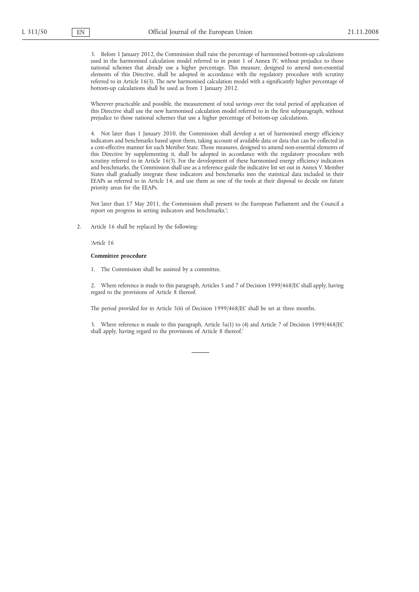3. Before 1 January 2012, the Commission shall raise the percentage of harmonised bottom-up calculations used in the harmonised calculation model referred to in point 1 of Annex IV, without prejudice to those national schemes that already use a higher percentage. This measure, designed to amend non-essential elements of this Directive, shall be adopted in accordance with the regulatory procedure with scrutiny referred to in Article 16(3). The new harmonised calculation model with a significantly higher percentage of bottom-up calculations shall be used as from 1 January 2012.

Wherever practicable and possible, the measurement of total savings over the total period of application of this Directive shall use the new harmonised calculation model referred to in the first subparagraph, without prejudice to those national schemes that use a higher percentage of bottom-up calculations.

4. Not later than 1 January 2010, the Commission shall develop a set of harmonised energy efficiency indicators and benchmarks based upon them, taking account of available data or data that can be collected in a cost-effective manner for each Member State. Those measures, designed to amend non-essential elements of this Directive by supplementing it, shall be adopted in accordance with the regulatory procedure with scrutiny referred to in Article 16(3). For the development of these harmonised energy efficiency indicators and benchmarks, the Commission shall use as a reference guide the indicative list set out in Annex V. Member States shall gradually integrate these indicators and benchmarks into the statistical data included in their EEAPs as referred to in Article 14, and use them as one of the tools at their disposal to decide on future priority areas for the EEAPs.

Not later than 17 May 2011, the Commission shall present to the European Parliament and the Council a report on progress in setting indicators and benchmarks.';

2. Article 16 shall be replaced by the following:

*'Article 16*

# **Committee procedure**

1. The Commission shall be assisted by a committee.

2. Where reference is made to this paragraph, Articles 5 and 7 of Decision 1999/468/EC shall apply, having regard to the provisions of Article 8 thereof.

The period provided for in Article 5(6) of Decision 1999/468/EC shall be set at three months.

3. Where reference is made to this paragraph, Article 5a(1) to (4) and Article 7 of Decision 1999/468/EC shall apply, having regard to the provisions of Article 8 thereof.'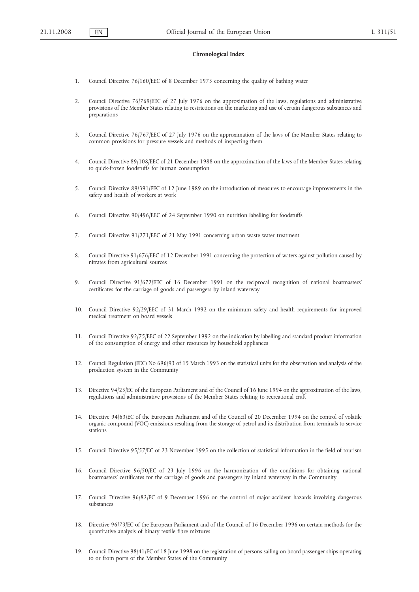#### **Chronological Index**

- 1. Council Directive 76/160/EEC of 8 December 1975 concerning the quality of bathing water
- 2. Council Directive 76/769/EEC of 27 July 1976 on the approximation of the laws, regulations and administrative provisions of the Member States relating to restrictions on the marketing and use of certain dangerous substances and preparations
- 3. Council Directive 76/767/EEC of 27 July 1976 on the approximation of the laws of the Member States relating to common provisions for pressure vessels and methods of inspecting them
- 4. Council Directive 89/108/EEC of 21 December 1988 on the approximation of the laws of the Member States relating to quick-frozen foodstuffs for human consumption
- 5. Council Directive 89/391/EEC of 12 June 1989 on the introduction of measures to encourage improvements in the safety and health of workers at work
- 6. Council Directive 90/496/EEC of 24 September 1990 on nutrition labelling for foodstuffs
- 7. Council Directive 91/271/EEC of 21 May 1991 concerning urban waste water treatment
- 8. Council Directive 91/676/EEC of 12 December 1991 concerning the protection of waters against pollution caused by nitrates from agricultural sources
- 9. Council Directive 91/672/EEC of 16 December 1991 on the reciprocal recognition of national boatmasters' certificates for the carriage of goods and passengers by inland waterway
- 10. Council Directive 92/29/EEC of 31 March 1992 on the minimum safety and health requirements for improved medical treatment on board vessels
- 11. Council Directive 92/75/EEC of 22 September 1992 on the indication by labelling and standard product information of the consumption of energy and other resources by household appliances
- 12. Council Regulation (EEC) No 696/93 of 15 March 1993 on the statistical units for the observation and analysis of the production system in the Community
- 13. Directive 94/25/EC of the European Parliament and of the Council of 16 June 1994 on the approximation of the laws, regulations and administrative provisions of the Member States relating to recreational craft
- 14. Directive 94/63/EC of the European Parliament and of the Council of 20 December 1994 on the control of volatile organic compound (VOC) emissions resulting from the storage of petrol and its distribution from terminals to service stations
- 15. Council Directive 95/57/EC of 23 November 1995 on the collection of statistical information in the field of tourism
- 16. Council Directive 96/50/EC of 23 July 1996 on the harmonization of the conditions for obtaining national boatmasters' certificates for the carriage of goods and passengers by inland waterway in the Community
- 17. Council Directive 96/82/EC of 9 December 1996 on the control of major-accident hazards involving dangerous substances
- 18. Directive 96/73/EC of the European Parliament and of the Council of 16 December 1996 on certain methods for the quantitative analysis of binary textile fibre mixtures
- 19. Council Directive 98/41/EC of 18 June 1998 on the registration of persons sailing on board passenger ships operating to or from ports of the Member States of the Community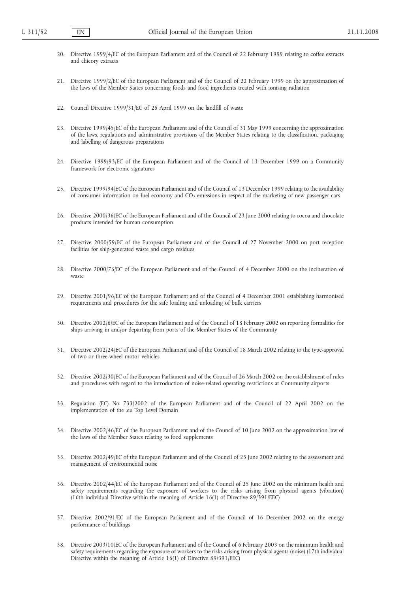- 20. Directive 1999/4/EC of the European Parliament and of the Council of 22 February 1999 relating to coffee extracts and chicory extracts
- 21. Directive 1999/2/EC of the European Parliament and of the Council of 22 February 1999 on the approximation of the laws of the Member States concerning foods and food ingredients treated with ionising radiation
- 22. Council Directive 1999/31/EC of 26 April 1999 on the landfill of waste
- 23. Directive 1999/45/EC of the European Parliament and of the Council of 31 May 1999 concerning the approximation of the laws, regulations and administrative provisions of the Member States relating to the classification, packaging and labelling of dangerous preparations
- 24. Directive 1999/93/EC of the European Parliament and of the Council of 13 December 1999 on a Community framework for electronic signatures
- 25. Directive 1999/94/EC of the European Parliament and of the Council of 13 December 1999 relating to the availability of consumer information on fuel economy and CO<sub>2</sub> emissions in respect of the marketing of new passenger cars
- 26. Directive 2000/36/EC of the European Parliament and of the Council of 23 June 2000 relating to cocoa and chocolate products intended for human consumption
- 27. Directive 2000/59/EC of the European Parliament and of the Council of 27 November 2000 on port reception facilities for ship-generated waste and cargo residues
- 28. Directive 2000/76/EC of the European Parliament and of the Council of 4 December 2000 on the incineration of waste
- 29. Directive 2001/96/EC of the European Parliament and of the Council of 4 December 2001 establishing harmonised requirements and procedures for the safe loading and unloading of bulk carriers
- 30. Directive 2002/6/EC of the European Parliament and of the Council of 18 February 2002 on reporting formalities for ships arriving in and/or departing from ports of the Member States of the Community
- 31. Directive 2002/24/EC of the European Parliament and of the Council of 18 March 2002 relating to the type-approval of two or three-wheel motor vehicles
- 32. Directive 2002/30/EC of the European Parliament and of the Council of 26 March 2002 on the establishment of rules and procedures with regard to the introduction of noise-related operating restrictions at Community airports
- 33. Regulation (EC) No 733/2002 of the European Parliament and of the Council of 22 April 2002 on the implementation of the .eu Top Level Domain
- 34. Directive 2002/46/EC of the European Parliament and of the Council of 10 June 2002 on the approximation law of the laws of the Member States relating to food supplements
- 35. Directive 2002/49/EC of the European Parliament and of the Council of 25 June 2002 relating to the assessment and management of environmental noise
- 36. Directive 2002/44/EC of the European Parliament and of the Council of 25 June 2002 on the minimum health and safety requirements regarding the exposure of workers to the risks arising from physical agents (vibration) (16th individual Directive within the meaning of Article 16(1) of Directive 89/391/EEC)
- 37. Directive 2002/91/EC of the European Parliament and of the Council of 16 December 2002 on the energy performance of buildings
- 38. Directive 2003/10/EC of the European Parliament and of the Council of 6 February 2003 on the minimum health and safety requirements regarding the exposure of workers to the risks arising from physical agents (noise) (17th individual Directive within the meaning of Article 16(1) of Directive 89/391/EEC)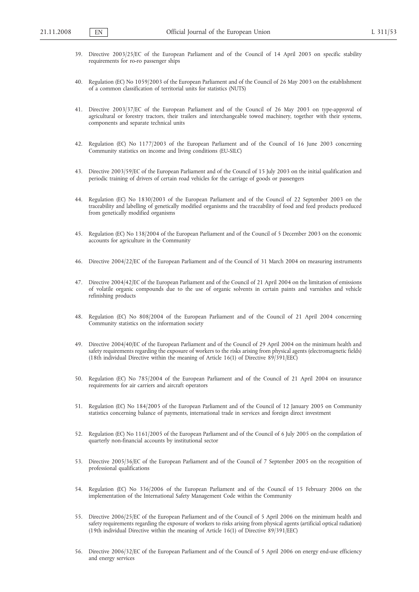- 39. Directive 2003/25/EC of the European Parliament and of the Council of 14 April 2003 on specific stability requirements for ro-ro passenger ships
- 40. Regulation (EC) No 1059/2003 of the European Parliament and of the Council of 26 May 2003 on the establishment of a common classification of territorial units for statistics (NUTS)
- 41. Directive 2003/37/EC of the European Parliament and of the Council of 26 May 2003 on type-approval of agricultural or forestry tractors, their trailers and interchangeable towed machinery, together with their systems, components and separate technical units
- 42. Regulation (EC) No 1177/2003 of the European Parliament and of the Council of 16 June 2003 concerning Community statistics on income and living conditions (EU-SILC)
- 43. Directive 2003/59/EC of the European Parliament and of the Council of 15 July 2003 on the initial qualification and periodic training of drivers of certain road vehicles for the carriage of goods or passengers
- 44. Regulation (EC) No 1830/2003 of the European Parliament and of the Council of 22 September 2003 on the traceability and labelling of genetically modified organisms and the traceability of food and feed products produced from genetically modified organisms
- 45. Regulation (EC) No 138/2004 of the European Parliament and of the Council of 5 December 2003 on the economic accounts for agriculture in the Community
- 46. Directive 2004/22/EC of the European Parliament and of the Council of 31 March 2004 on measuring instruments
- 47. Directive 2004/42/EC of the European Parliament and of the Council of 21 April 2004 on the limitation of emissions of volatile organic compounds due to the use of organic solvents in certain paints and varnishes and vehicle refinishing products
- 48. Regulation (EC) No 808/2004 of the European Parliament and of the Council of 21 April 2004 concerning Community statistics on the information society
- 49. Directive 2004/40/EC of the European Parliament and of the Council of 29 April 2004 on the minimum health and safety requirements regarding the exposure of workers to the risks arising from physical agents (electromagnetic fields) (18th individual Directive within the meaning of Article 16(1) of Directive 89/391/EEC)
- 50. Regulation (EC) No 785/2004 of the European Parliament and of the Council of 21 April 2004 on insurance requirements for air carriers and aircraft operators
- 51. Regulation (EC) No 184/2005 of the European Parliament and of the Council of 12 January 2005 on Community statistics concerning balance of payments, international trade in services and foreign direct investment
- 52. Regulation (EC) No 1161/2005 of the European Parliament and of the Council of 6 July 2005 on the compilation of quarterly non-financial accounts by institutional sector
- 53. Directive 2005/36/EC of the European Parliament and of the Council of 7 September 2005 on the recognition of professional qualifications
- 54. Regulation (EC) No 336/2006 of the European Parliament and of the Council of 15 February 2006 on the implementation of the International Safety Management Code within the Community
- 55. Directive 2006/25/EC of the European Parliament and of the Council of 5 April 2006 on the minimum health and safety requirements regarding the exposure of workers to risks arising from physical agents (artificial optical radiation) (19th individual Directive within the meaning of Article 16(1) of Directive 89/391/EEC)
- 56. Directive 2006/32/EC of the European Parliament and of the Council of 5 April 2006 on energy end-use efficiency and energy services